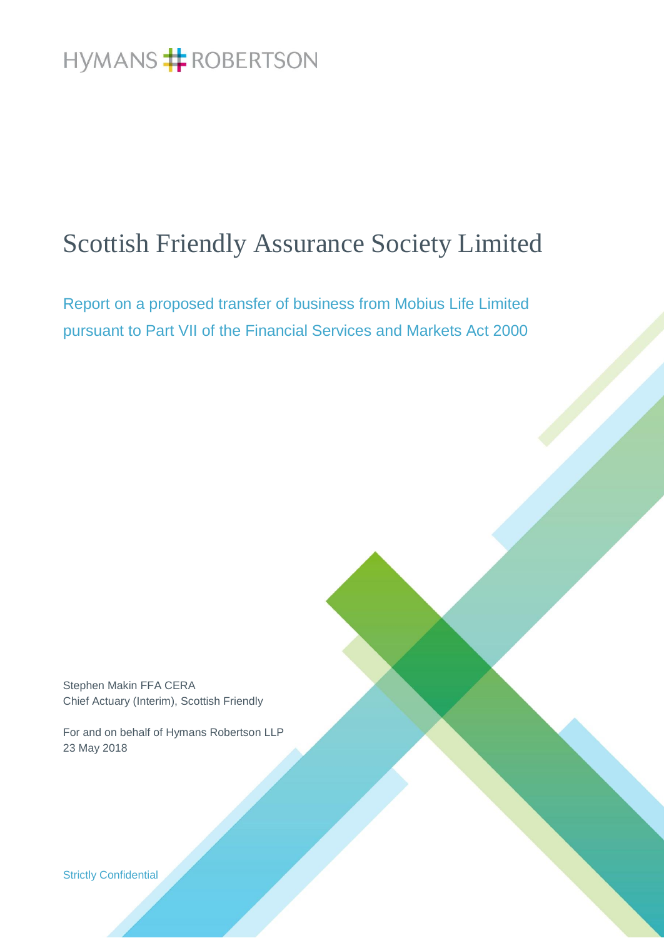# Scottish Friendly Assurance Society Limited

Report on a proposed transfer of business from Mobius Life Limited pursuant to Part VII of the Financial Services and Markets Act 2000

Stephen Makin FFA CERA Chief Actuary (Interim), Scottish Friendly

For and on behalf of Hymans Robertson LLP 23 May 2018

Strictly Confidential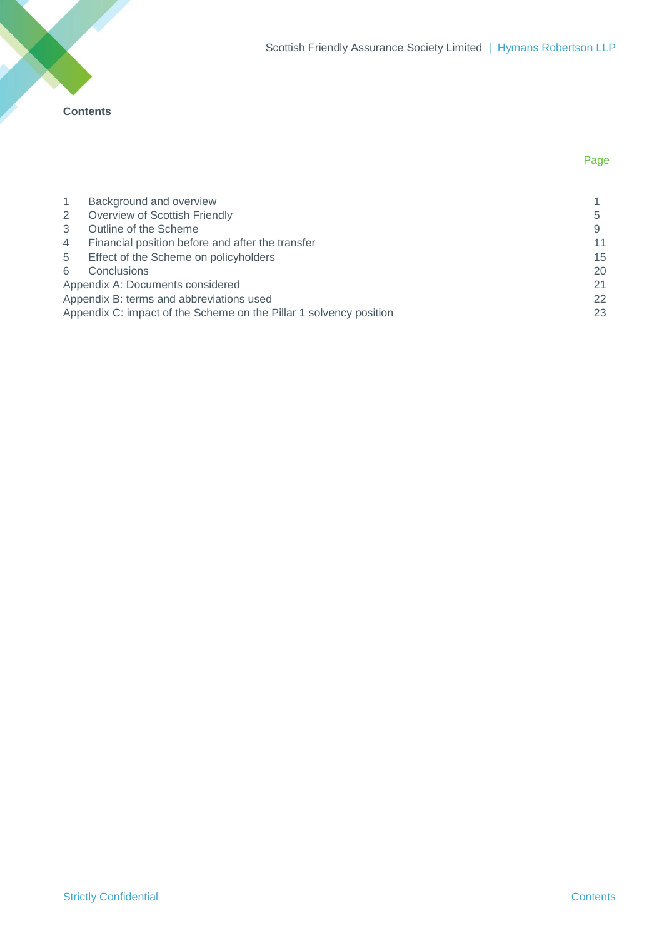**Contents**

| $\overline{1}$ | Background and overview                                            |    |
|----------------|--------------------------------------------------------------------|----|
| 2              | Overview of Scottish Friendly                                      | 5  |
| 3              | Outline of the Scheme                                              |    |
| $\overline{4}$ | Financial position before and after the transfer                   | 11 |
| 5              | Effect of the Scheme on policyholders                              | 15 |
| 6              | Conclusions                                                        | 20 |
|                | Appendix A: Documents considered                                   | 21 |
|                | Appendix B: terms and abbreviations used                           | 22 |
|                | Appendix C: impact of the Scheme on the Pillar 1 solvency position | 23 |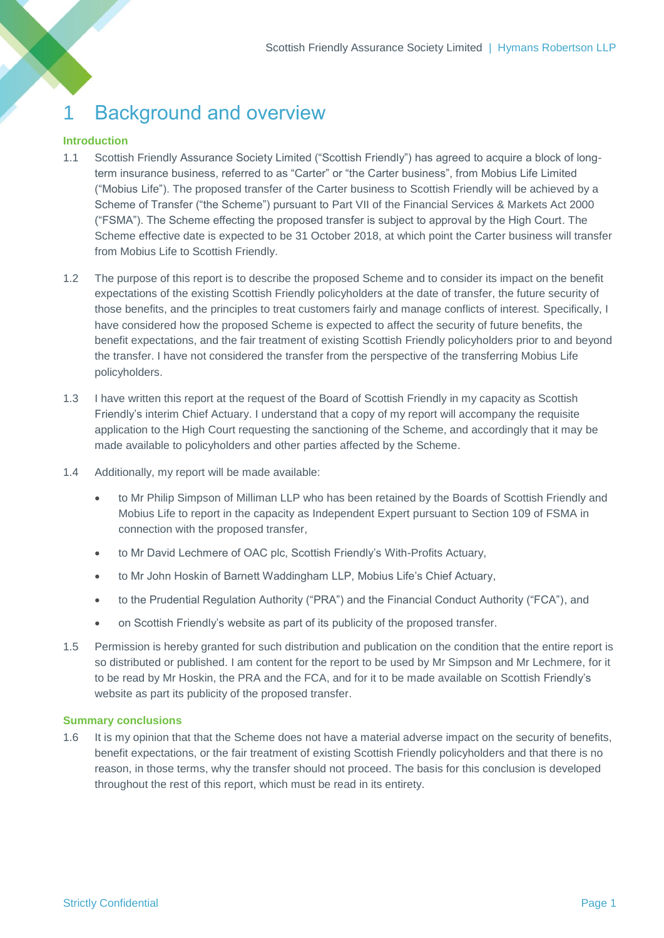# 1 Background and overview

## **Introduction**

- 1.1 Scottish Friendly Assurance Society Limited ("Scottish Friendly") has agreed to acquire a block of longterm insurance business, referred to as "Carter" or "the Carter business", from Mobius Life Limited ("Mobius Life"). The proposed transfer of the Carter business to Scottish Friendly will be achieved by a Scheme of Transfer ("the Scheme") pursuant to Part VII of the Financial Services & Markets Act 2000 ("FSMA"). The Scheme effecting the proposed transfer is subject to approval by the High Court. The Scheme effective date is expected to be 31 October 2018, at which point the Carter business will transfer from Mobius Life to Scottish Friendly.
- 1.2 The purpose of this report is to describe the proposed Scheme and to consider its impact on the benefit expectations of the existing Scottish Friendly policyholders at the date of transfer, the future security of those benefits, and the principles to treat customers fairly and manage conflicts of interest. Specifically, I have considered how the proposed Scheme is expected to affect the security of future benefits, the benefit expectations, and the fair treatment of existing Scottish Friendly policyholders prior to and beyond the transfer. I have not considered the transfer from the perspective of the transferring Mobius Life policyholders.
- 1.3 I have written this report at the request of the Board of Scottish Friendly in my capacity as Scottish Friendly's interim Chief Actuary. I understand that a copy of my report will accompany the requisite application to the High Court requesting the sanctioning of the Scheme, and accordingly that it may be made available to policyholders and other parties affected by the Scheme.
- <span id="page-2-0"></span>1.4 Additionally, my report will be made available:
	- to Mr Philip Simpson of Milliman LLP who has been retained by the Boards of Scottish Friendly and Mobius Life to report in the capacity as Independent Expert pursuant to Section 109 of FSMA in connection with the proposed transfer,
	- to Mr David Lechmere of OAC plc, Scottish Friendly's With-Profits Actuary,
	- to Mr John Hoskin of Barnett Waddingham LLP, Mobius Life's Chief Actuary,
	- to the Prudential Regulation Authority ("PRA") and the Financial Conduct Authority ("FCA"), and
	- on Scottish Friendly's website as part of its publicity of the proposed transfer.
- <span id="page-2-1"></span>1.5 Permission is hereby granted for such distribution and publication on the condition that the entire report is so distributed or published. I am content for the report to be used by Mr Simpson and Mr Lechmere, for it to be read by Mr Hoskin, the PRA and the FCA, and for it to be made available on Scottish Friendly's website as part its publicity of the proposed transfer.

### **Summary conclusions**

1.6 It is my opinion that that the Scheme does not have a material adverse impact on the security of benefits, benefit expectations, or the fair treatment of existing Scottish Friendly policyholders and that there is no reason, in those terms, why the transfer should not proceed. The basis for this conclusion is developed throughout the rest of this report, which must be read in its entirety.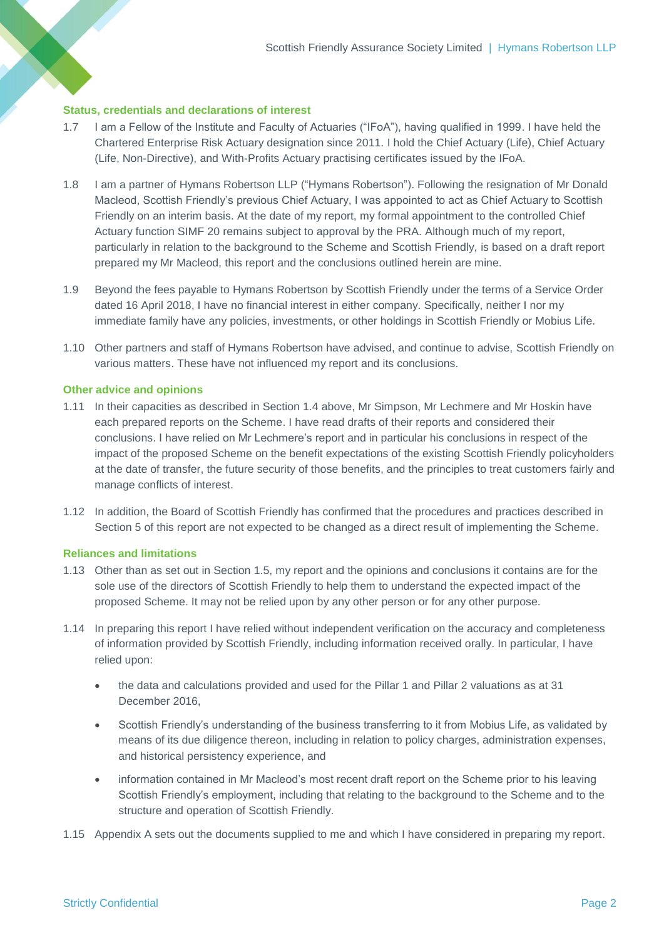#### **Status, credentials and declarations of interest**

- 1.7 I am a Fellow of the Institute and Faculty of Actuaries ("IFoA"), having qualified in 1999. I have held the Chartered Enterprise Risk Actuary designation since 2011. I hold the Chief Actuary (Life), Chief Actuary (Life, Non-Directive), and With-Profits Actuary practising certificates issued by the IFoA.
- 1.8 I am a partner of Hymans Robertson LLP ("Hymans Robertson"). Following the resignation of Mr Donald Macleod, Scottish Friendly's previous Chief Actuary, I was appointed to act as Chief Actuary to Scottish Friendly on an interim basis. At the date of my report, my formal appointment to the controlled Chief Actuary function SIMF 20 remains subject to approval by the PRA. Although much of my report, particularly in relation to the background to the Scheme and Scottish Friendly, is based on a draft report prepared my Mr Macleod, this report and the conclusions outlined herein are mine.
- 1.9 Beyond the fees payable to Hymans Robertson by Scottish Friendly under the terms of a Service Order dated 16 April 2018, I have no financial interest in either company. Specifically, neither I nor my immediate family have any policies, investments, or other holdings in Scottish Friendly or Mobius Life.
- 1.10 Other partners and staff of Hymans Robertson have advised, and continue to advise, Scottish Friendly on various matters. These have not influenced my report and its conclusions.

#### **Other advice and opinions**

- 1.11 In their capacities as described in Section [1.4](#page-2-0) above, Mr Simpson, Mr Lechmere and Mr Hoskin have each prepared reports on the Scheme. I have read drafts of their reports and considered their conclusions. I have relied on Mr Lechmere's report and in particular his conclusions in respect of the impact of the proposed Scheme on the benefit expectations of the existing Scottish Friendly policyholders at the date of transfer, the future security of those benefits, and the principles to treat customers fairly and manage conflicts of interest.
- 1.12 In addition, the Board of Scottish Friendly has confirmed that the procedures and practices described in Section [5](#page-16-0) of this report are not expected to be changed as a direct result of implementing the Scheme.

### **Reliances and limitations**

- 1.13 Other than as set out in Section [1.5,](#page-2-1) my report and the opinions and conclusions it contains are for the sole use of the directors of Scottish Friendly to help them to understand the expected impact of the proposed Scheme. It may not be relied upon by any other person or for any other purpose.
- 1.14 In preparing this report I have relied without independent verification on the accuracy and completeness of information provided by Scottish Friendly, including information received orally. In particular, I have relied upon:
	- the data and calculations provided and used for the Pillar 1 and Pillar 2 valuations as at 31 December 2016,
	- Scottish Friendly's understanding of the business transferring to it from Mobius Life, as validated by means of its due diligence thereon, including in relation to policy charges, administration expenses, and historical persistency experience, and
	- information contained in Mr Macleod's most recent draft report on the Scheme prior to his leaving Scottish Friendly's employment, including that relating to the background to the Scheme and to the structure and operation of Scottish Friendly.
- 1.15 Appendix A sets out the documents supplied to me and which I have considered in preparing my report.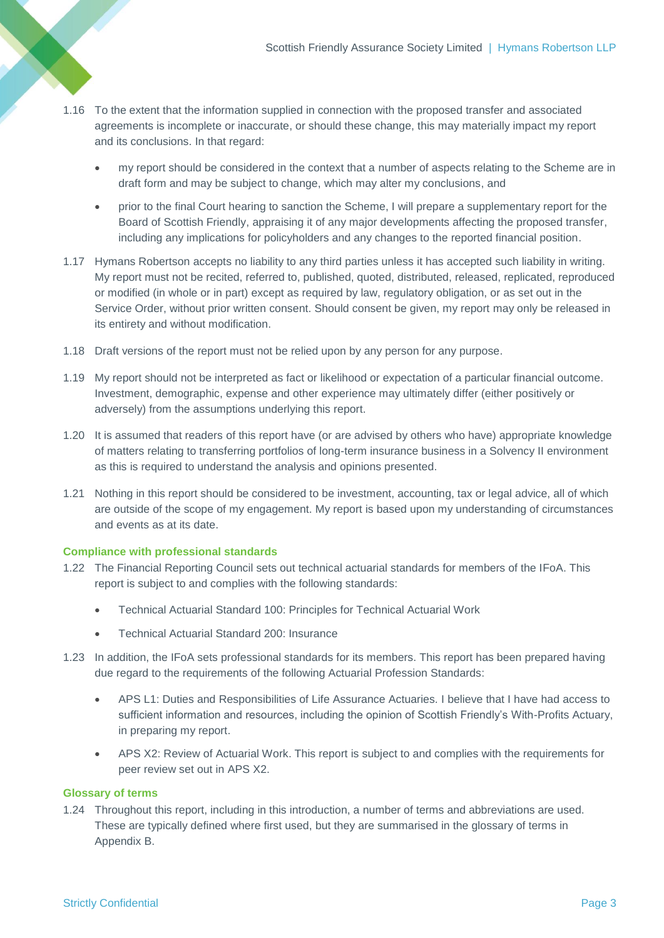- <span id="page-4-0"></span>1.16 To the extent that the information supplied in connection with the proposed transfer and associated agreements is incomplete or inaccurate, or should these change, this may materially impact my report and its conclusions. In that regard:
	- my report should be considered in the context that a number of aspects relating to the Scheme are in draft form and may be subject to change, which may alter my conclusions, and
	- prior to the final Court hearing to sanction the Scheme, I will prepare a supplementary report for the Board of Scottish Friendly, appraising it of any major developments affecting the proposed transfer, including any implications for policyholders and any changes to the reported financial position.
- 1.17 Hymans Robertson accepts no liability to any third parties unless it has accepted such liability in writing. My report must not be recited, referred to, published, quoted, distributed, released, replicated, reproduced or modified (in whole or in part) except as required by law, regulatory obligation, or as set out in the Service Order, without prior written consent. Should consent be given, my report may only be released in its entirety and without modification.
- 1.18 Draft versions of the report must not be relied upon by any person for any purpose.
- 1.19 My report should not be interpreted as fact or likelihood or expectation of a particular financial outcome. Investment, demographic, expense and other experience may ultimately differ (either positively or adversely) from the assumptions underlying this report.
- 1.20 It is assumed that readers of this report have (or are advised by others who have) appropriate knowledge of matters relating to transferring portfolios of long-term insurance business in a Solvency II environment as this is required to understand the analysis and opinions presented.
- 1.21 Nothing in this report should be considered to be investment, accounting, tax or legal advice, all of which are outside of the scope of my engagement. My report is based upon my understanding of circumstances and events as at its date.

### **Compliance with professional standards**

- 1.22 The Financial Reporting Council sets out technical actuarial standards for members of the IFoA. This report is subject to and complies with the following standards:
	- Technical Actuarial Standard 100: Principles for Technical Actuarial Work
	- Technical Actuarial Standard 200: Insurance
- 1.23 In addition, the IFoA sets professional standards for its members. This report has been prepared having due regard to the requirements of the following Actuarial Profession Standards:
	- APS L1: Duties and Responsibilities of Life Assurance Actuaries. I believe that I have had access to sufficient information and resources, including the opinion of Scottish Friendly's With-Profits Actuary, in preparing my report.
	- APS X2: Review of Actuarial Work. This report is subject to and complies with the requirements for peer review set out in APS X2.

#### **Glossary of terms**

1.24 Throughout this report, including in this introduction, a number of terms and abbreviations are used. These are typically defined where first used, but they are summarised in the glossary of terms in Appendix B.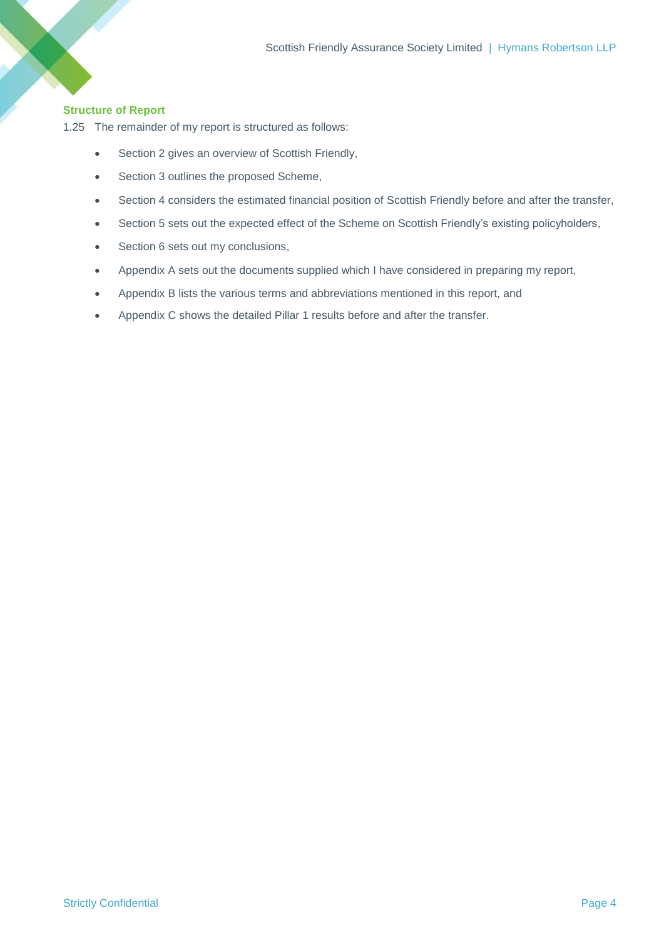## **Structure of Report**

1.25 The remainder of my report is structured as follows:

- Section [2](#page-6-0) gives an overview of Scottish Friendly,
- Section [3](#page-10-0) outlines the proposed Scheme,
- Section [4](#page-12-0) considers the estimated financial position of Scottish Friendly before and after the transfer,
- Section [5](#page-16-0) sets out the expected effect of the Scheme on Scottish Friendly's existing policyholders,
- Section [6](#page-21-0) sets out my conclusions,
- Appendix A sets out the documents supplied which I have considered in preparing my report,
- Appendix B lists the various terms and abbreviations mentioned in this report, and
- Appendix C shows the detailed Pillar 1 results before and after the transfer.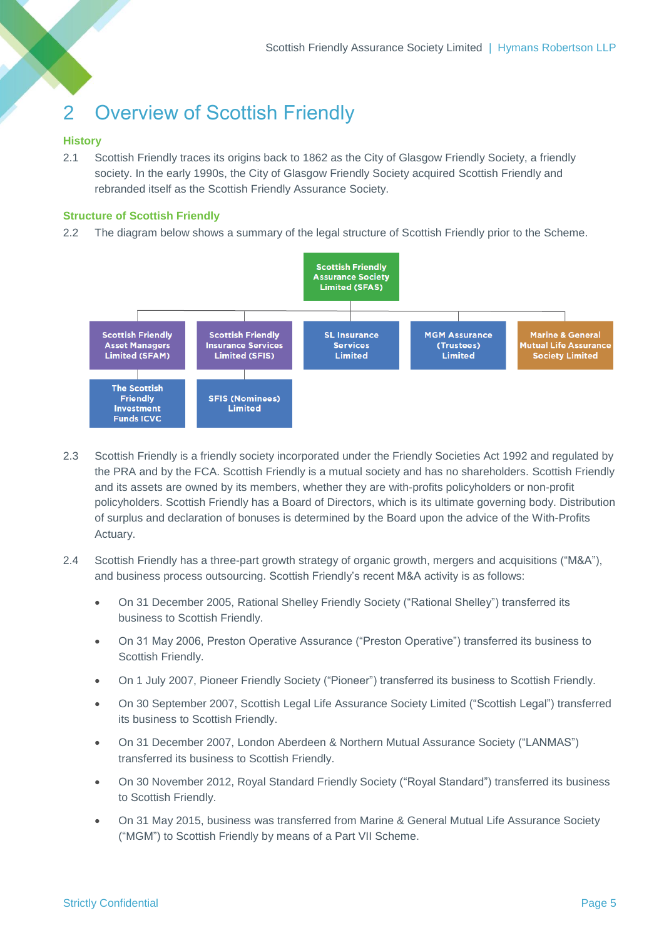## <span id="page-6-0"></span>2 Overview of Scottish Friendly

## **History**

2.1 Scottish Friendly traces its origins back to 1862 as the City of Glasgow Friendly Society, a friendly society. In the early 1990s, the City of Glasgow Friendly Society acquired Scottish Friendly and rebranded itself as the Scottish Friendly Assurance Society.

## **Structure of Scottish Friendly**

2.2 The diagram below shows a summary of the legal structure of Scottish Friendly prior to the Scheme.



- 2.3 Scottish Friendly is a friendly society incorporated under the Friendly Societies Act 1992 and regulated by the PRA and by the FCA. Scottish Friendly is a mutual society and has no shareholders. Scottish Friendly and its assets are owned by its members, whether they are with-profits policyholders or non-profit policyholders. Scottish Friendly has a Board of Directors, which is its ultimate governing body. Distribution of surplus and declaration of bonuses is determined by the Board upon the advice of the With-Profits Actuary.
- 2.4 Scottish Friendly has a three-part growth strategy of organic growth, mergers and acquisitions ("M&A"), and business process outsourcing. Scottish Friendly's recent M&A activity is as follows:
	- On 31 December 2005, Rational Shelley Friendly Society ("Rational Shelley") transferred its business to Scottish Friendly.
	- On 31 May 2006, Preston Operative Assurance ("Preston Operative") transferred its business to Scottish Friendly.
	- On 1 July 2007, Pioneer Friendly Society ("Pioneer") transferred its business to Scottish Friendly.
	- On 30 September 2007, Scottish Legal Life Assurance Society Limited ("Scottish Legal") transferred its business to Scottish Friendly.
	- On 31 December 2007, London Aberdeen & Northern Mutual Assurance Society ("LANMAS") transferred its business to Scottish Friendly.
	- On 30 November 2012, Royal Standard Friendly Society ("Royal Standard") transferred its business to Scottish Friendly.
	- On 31 May 2015, business was transferred from Marine & General Mutual Life Assurance Society ("MGM") to Scottish Friendly by means of a Part VII Scheme.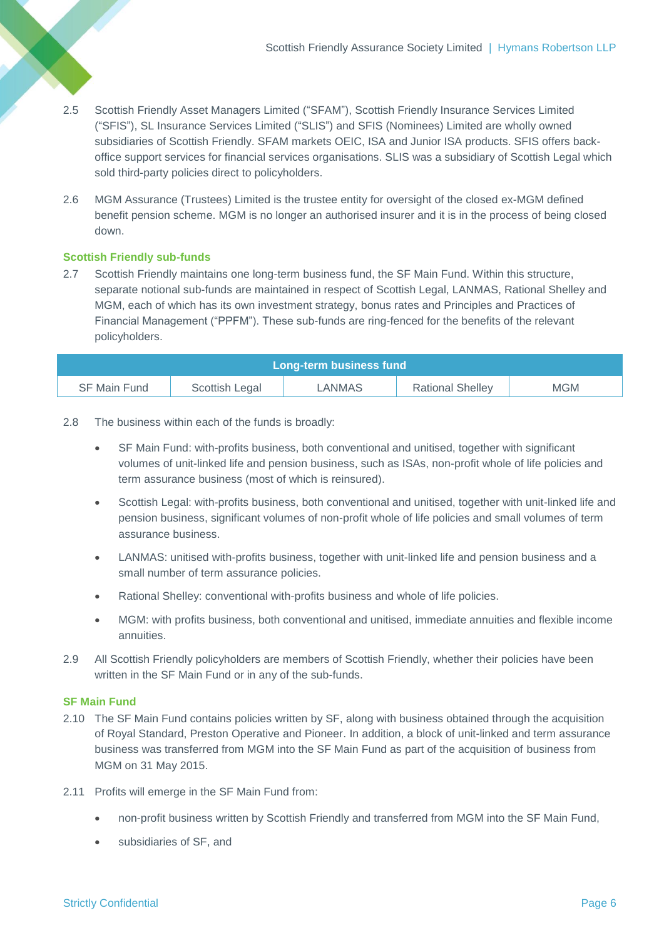- 2.5 Scottish Friendly Asset Managers Limited ("SFAM"), Scottish Friendly Insurance Services Limited ("SFIS"), SL Insurance Services Limited ("SLIS") and SFIS (Nominees) Limited are wholly owned subsidiaries of Scottish Friendly. SFAM markets OEIC, ISA and Junior ISA products. SFIS offers backoffice support services for financial services organisations. SLIS was a subsidiary of Scottish Legal which sold third-party policies direct to policyholders.
- 2.6 MGM Assurance (Trustees) Limited is the trustee entity for oversight of the closed ex-MGM defined benefit pension scheme. MGM is no longer an authorised insurer and it is in the process of being closed down.

## **Scottish Friendly sub-funds**

2.7 Scottish Friendly maintains one long-term business fund, the SF Main Fund. Within this structure, separate notional sub-funds are maintained in respect of Scottish Legal, LANMAS, Rational Shelley and MGM, each of which has its own investment strategy, bonus rates and Principles and Practices of Financial Management ("PPFM"). These sub-funds are ring-fenced for the benefits of the relevant policyholders.

| Long-term business fund |                |        |                         |            |  |
|-------------------------|----------------|--------|-------------------------|------------|--|
| SF Main Fund            | Scottish Legal | ∟ANMAS | <b>Rational Shelley</b> | <b>MGM</b> |  |

- 2.8 The business within each of the funds is broadly:
	- SF Main Fund: with-profits business, both conventional and unitised, together with significant volumes of unit-linked life and pension business, such as ISAs, non-profit whole of life policies and term assurance business (most of which is reinsured).
	- Scottish Legal: with-profits business, both conventional and unitised, together with unit-linked life and pension business, significant volumes of non-profit whole of life policies and small volumes of term assurance business.
	- LANMAS: unitised with-profits business, together with unit-linked life and pension business and a small number of term assurance policies.
	- Rational Shelley: conventional with-profits business and whole of life policies.
	- MGM: with profits business, both conventional and unitised, immediate annuities and flexible income annuities.
- 2.9 All Scottish Friendly policyholders are members of Scottish Friendly, whether their policies have been written in the SF Main Fund or in any of the sub-funds.

### **SF Main Fund**

- 2.10 The SF Main Fund contains policies written by SF, along with business obtained through the acquisition of Royal Standard, Preston Operative and Pioneer. In addition, a block of unit-linked and term assurance business was transferred from MGM into the SF Main Fund as part of the acquisition of business from MGM on 31 May 2015.
- <span id="page-7-0"></span>2.11 Profits will emerge in the SF Main Fund from:
	- non-profit business written by Scottish Friendly and transferred from MGM into the SF Main Fund,
	- subsidiaries of SF, and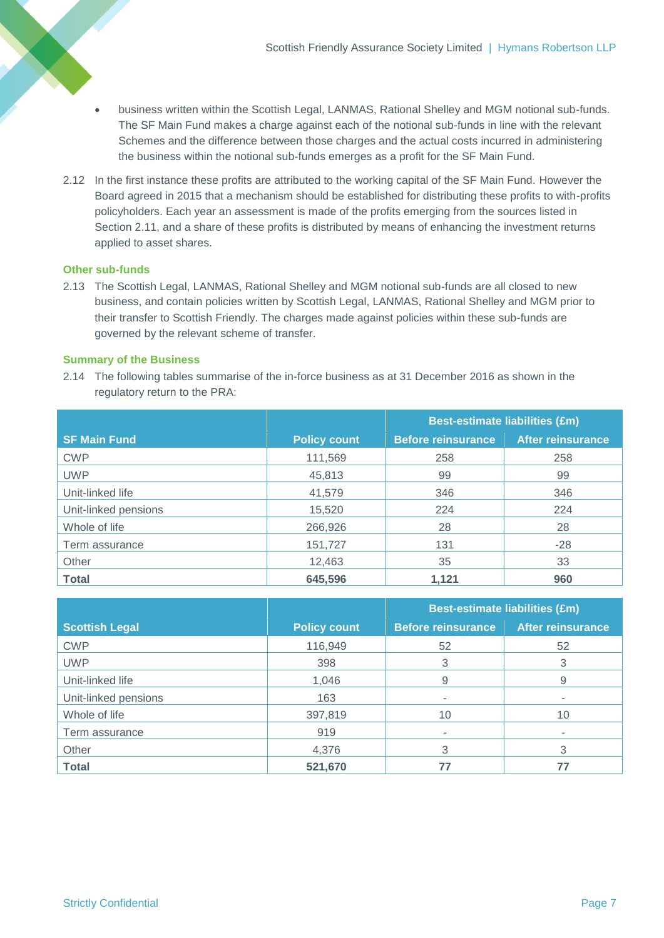- business written within the Scottish Legal, LANMAS, Rational Shelley and MGM notional sub-funds. The SF Main Fund makes a charge against each of the notional sub-funds in line with the relevant Schemes and the difference between those charges and the actual costs incurred in administering the business within the notional sub-funds emerges as a profit for the SF Main Fund.
- 2.12 In the first instance these profits are attributed to the working capital of the SF Main Fund. However the Board agreed in 2015 that a mechanism should be established for distributing these profits to with-profits policyholders. Each year an assessment is made of the profits emerging from the sources listed in Section [2.11,](#page-7-0) and a share of these profits is distributed by means of enhancing the investment returns applied to asset shares.

## **Other sub-funds**

2.13 The Scottish Legal, LANMAS, Rational Shelley and MGM notional sub-funds are all closed to new business, and contain policies written by Scottish Legal, LANMAS, Rational Shelley and MGM prior to their transfer to Scottish Friendly. The charges made against policies within these sub-funds are governed by the relevant scheme of transfer.

## **Summary of the Business**

2.14 The following tables summarise of the in-force business as at 31 December 2016 as shown in the regulatory return to the PRA:

|                      |                     | <b>Best-estimate liabilities (£m)</b> |                          |  |
|----------------------|---------------------|---------------------------------------|--------------------------|--|
| <b>SF Main Fund</b>  | <b>Policy count</b> | <b>Before reinsurance</b>             | <b>After reinsurance</b> |  |
| <b>CWP</b>           | 111,569             | 258                                   | 258                      |  |
| <b>UWP</b>           | 45,813              | 99                                    | 99                       |  |
| Unit-linked life     | 41,579              | 346                                   | 346                      |  |
| Unit-linked pensions | 15,520              | 224                                   | 224                      |  |
| Whole of life        | 266,926             | 28                                    | 28                       |  |
| Term assurance       | 151,727             | 131                                   | $-28$                    |  |
| Other                | 12,463              | 35                                    | 33                       |  |
| <b>Total</b>         | 645,596             | 1,121                                 | 960                      |  |

|                       |                     | <b>Best-estimate liabilities (£m)</b> |                          |  |
|-----------------------|---------------------|---------------------------------------|--------------------------|--|
| <b>Scottish Legal</b> | <b>Policy count</b> | <b>Before reinsurance</b>             | <b>After reinsurance</b> |  |
| <b>CWP</b>            | 116,949             | 52                                    | 52                       |  |
| <b>UWP</b>            | 398                 | 3                                     |                          |  |
| Unit-linked life      | 1,046               | 9                                     | 9                        |  |
| Unit-linked pensions  | 163                 | ٠                                     |                          |  |
| Whole of life         | 397,819             | 10                                    | 10                       |  |
| Term assurance        | 919                 |                                       |                          |  |
| Other                 | 4,376               | 3                                     | 3                        |  |
| <b>Total</b>          | 521,670             |                                       |                          |  |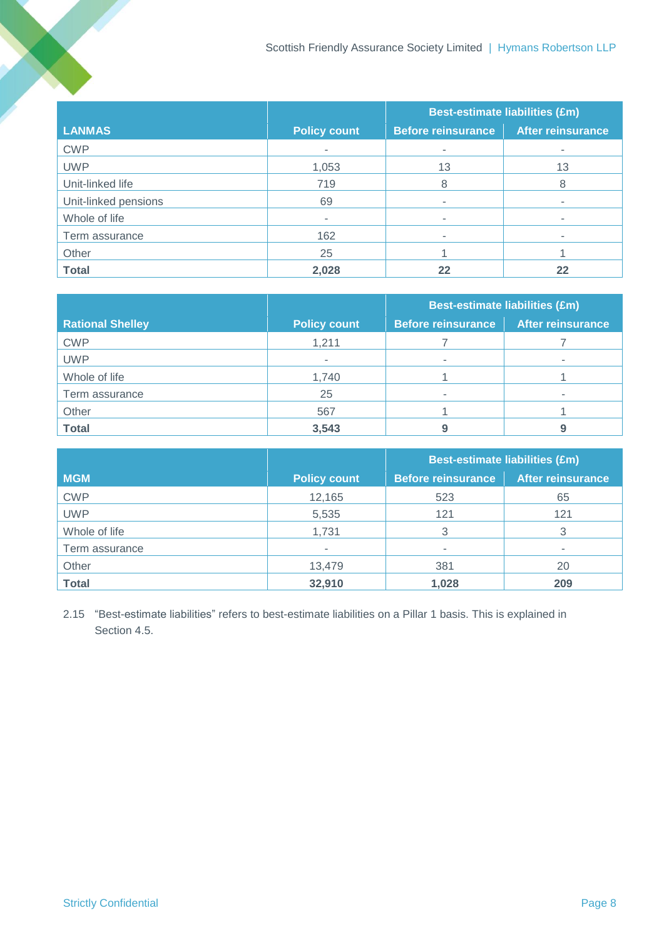|                      |                     | <b>Best-estimate liabilities (£m)</b> |                          |  |
|----------------------|---------------------|---------------------------------------|--------------------------|--|
| <b>LANMAS</b>        | <b>Policy count</b> | <b>Before reinsurance</b>             | <b>After reinsurance</b> |  |
| <b>CWP</b>           | ۰                   | $\blacksquare$                        | ٠                        |  |
| <b>UWP</b>           | 1,053               | 13                                    | 13                       |  |
| Unit-linked life     | 719                 | 8                                     | 8                        |  |
| Unit-linked pensions | 69                  | ۰                                     |                          |  |
| Whole of life        | ۰.                  |                                       |                          |  |
| Term assurance       | 162                 |                                       |                          |  |
| Other                | 25                  |                                       |                          |  |
| <b>Total</b>         | 2,028               | 22                                    | 22                       |  |

|                         |                     | <b>Best-estimate liabilities (£m)</b> |                          |  |
|-------------------------|---------------------|---------------------------------------|--------------------------|--|
| <b>Rational Shelley</b> | <b>Policy count</b> | <b>Before reinsurance</b>             | <b>After reinsurance</b> |  |
| <b>CWP</b>              | 1,211               |                                       |                          |  |
| <b>UWP</b>              | -                   | ۰                                     |                          |  |
| Whole of life           | 1,740               |                                       |                          |  |
| Term assurance          | 25                  |                                       |                          |  |
| Other                   | 567                 |                                       |                          |  |
| <b>Total</b>            | 3,543               |                                       |                          |  |

|                |                     | <b>Best-estimate liabilities (£m)</b> |                          |  |
|----------------|---------------------|---------------------------------------|--------------------------|--|
| <b>MGM</b>     | <b>Policy count</b> | <b>Before reinsurance</b>             | <b>After reinsurance</b> |  |
| <b>CWP</b>     | 12,165              | 523                                   | 65                       |  |
| <b>UWP</b>     | 5,535               | 121                                   | 121                      |  |
| Whole of life  | 1,731               | 3                                     |                          |  |
| Term assurance |                     |                                       |                          |  |
| Other          | 13,479              | 381                                   | 20                       |  |
| <b>Total</b>   | 32,910              | 1,028                                 | 209                      |  |

2.15 "Best-estimate liabilities" refers to best-estimate liabilities on a Pillar 1 basis. This is explained in Section [4.5.](#page-12-1)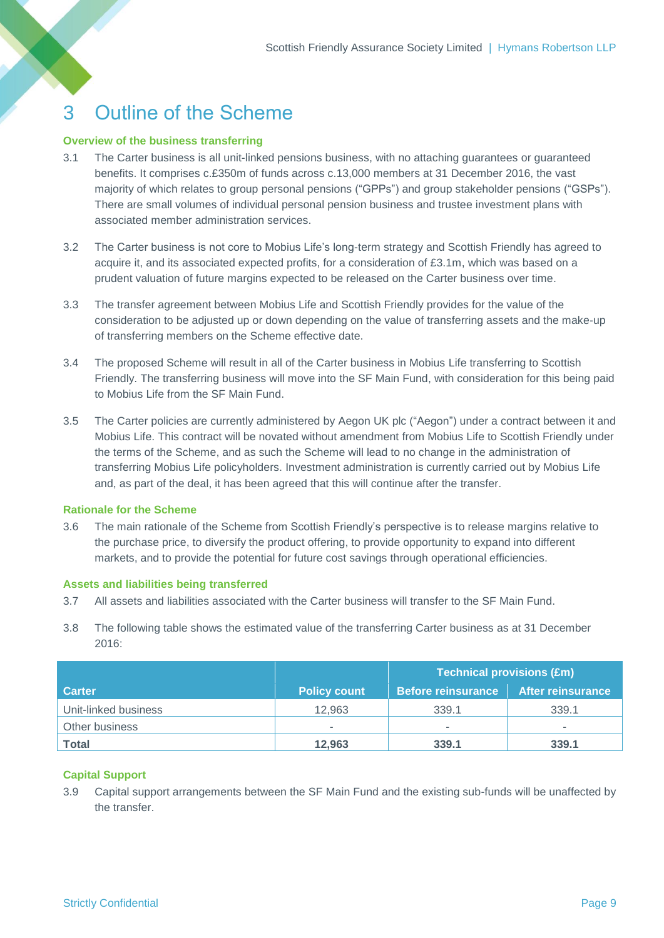## <span id="page-10-0"></span>3 Outline of the Scheme

### **Overview of the business transferring**

- 3.1 The Carter business is all unit-linked pensions business, with no attaching guarantees or guaranteed benefits. It comprises c.£350m of funds across c.13,000 members at 31 December 2016, the vast majority of which relates to group personal pensions ("GPPs") and group stakeholder pensions ("GSPs"). There are small volumes of individual personal pension business and trustee investment plans with associated member administration services.
- 3.2 The Carter business is not core to Mobius Life's long-term strategy and Scottish Friendly has agreed to acquire it, and its associated expected profits, for a consideration of £3.1m, which was based on a prudent valuation of future margins expected to be released on the Carter business over time.
- 3.3 The transfer agreement between Mobius Life and Scottish Friendly provides for the value of the consideration to be adjusted up or down depending on the value of transferring assets and the make-up of transferring members on the Scheme effective date.
- 3.4 The proposed Scheme will result in all of the Carter business in Mobius Life transferring to Scottish Friendly. The transferring business will move into the SF Main Fund, with consideration for this being paid to Mobius Life from the SF Main Fund.
- 3.5 The Carter policies are currently administered by Aegon UK plc ("Aegon") under a contract between it and Mobius Life. This contract will be novated without amendment from Mobius Life to Scottish Friendly under the terms of the Scheme, and as such the Scheme will lead to no change in the administration of transferring Mobius Life policyholders. Investment administration is currently carried out by Mobius Life and, as part of the deal, it has been agreed that this will continue after the transfer.

### **Rationale for the Scheme**

3.6 The main rationale of the Scheme from Scottish Friendly's perspective is to release margins relative to the purchase price, to diversify the product offering, to provide opportunity to expand into different markets, and to provide the potential for future cost savings through operational efficiencies.

### **Assets and liabilities being transferred**

- 3.7 All assets and liabilities associated with the Carter business will transfer to the SF Main Fund.
- 3.8 The following table shows the estimated value of the transferring Carter business as at 31 December 2016:

|                      |                     | <b>Technical provisions (£m)</b> |                          |  |  |
|----------------------|---------------------|----------------------------------|--------------------------|--|--|
| <b>Carter</b>        | <b>Policy count</b> | Before reinsurance               | <b>After reinsurance</b> |  |  |
| Unit-linked business | 12.963              | 339.1                            | 339.1                    |  |  |
| Other business       | ۰                   |                                  | $\sim$                   |  |  |
| Total                | 12,963              | 339.1                            | 339.1                    |  |  |

## **Capital Support**

3.9 Capital support arrangements between the SF Main Fund and the existing sub-funds will be unaffected by the transfer.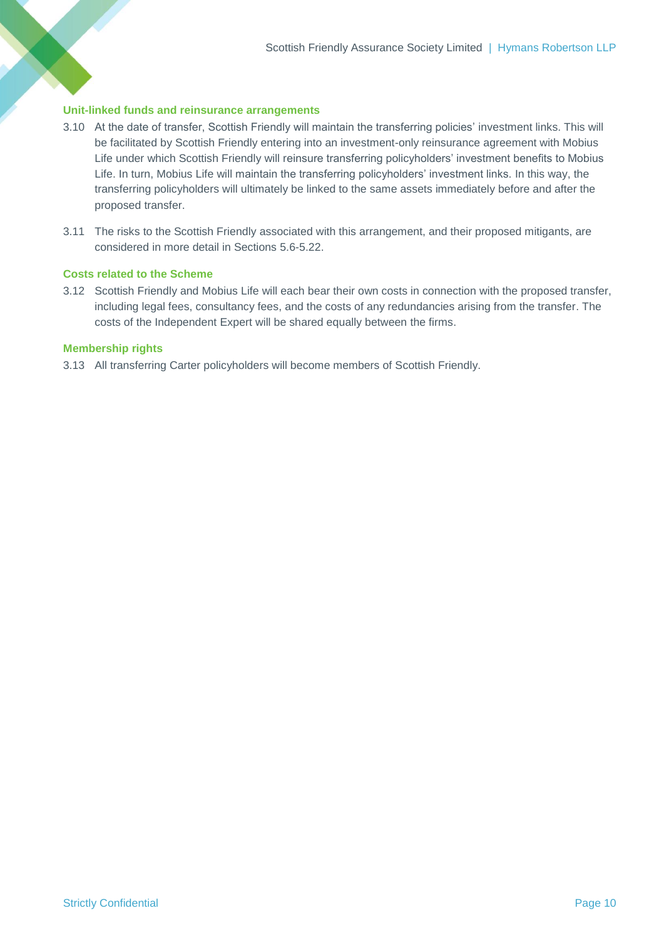#### **Unit-linked funds and reinsurance arrangements**

- 3.10 At the date of transfer, Scottish Friendly will maintain the transferring policies' investment links. This will be facilitated by Scottish Friendly entering into an investment-only reinsurance agreement with Mobius Life under which Scottish Friendly will reinsure transferring policyholders' investment benefits to Mobius Life. In turn, Mobius Life will maintain the transferring policyholders' investment links. In this way, the transferring policyholders will ultimately be linked to the same assets immediately before and after the proposed transfer.
- 3.11 The risks to the Scottish Friendly associated with this arrangement, and their proposed mitigants, are considered in more detail in Sections [5.6](#page-16-1)[-5.22.](#page-18-0)

## **Costs related to the Scheme**

3.12 Scottish Friendly and Mobius Life will each bear their own costs in connection with the proposed transfer, including legal fees, consultancy fees, and the costs of any redundancies arising from the transfer. The costs of the Independent Expert will be shared equally between the firms.

#### **Membership rights**

3.13 All transferring Carter policyholders will become members of Scottish Friendly.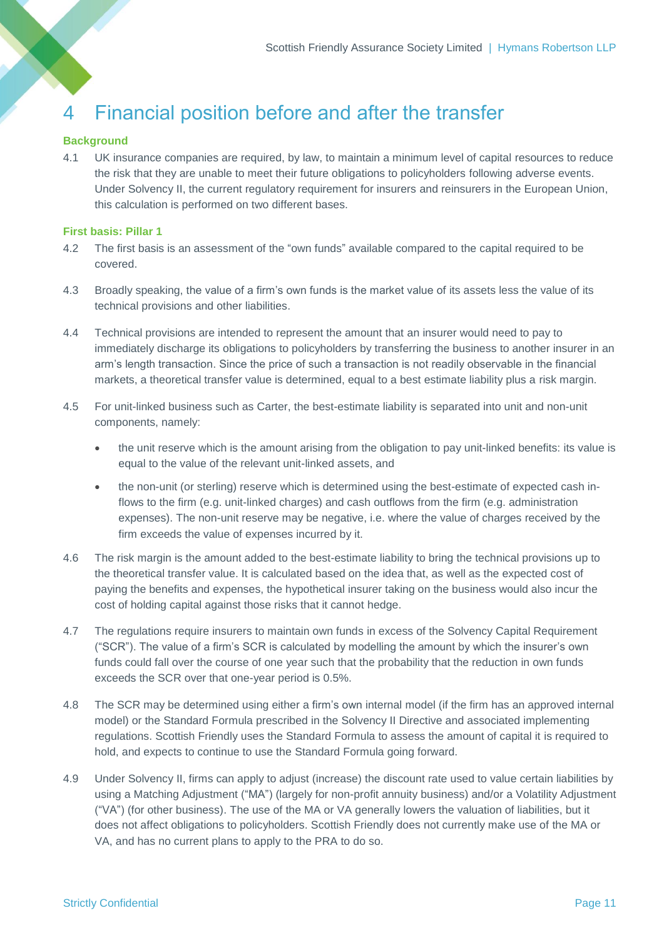## <span id="page-12-0"></span>4 Financial position before and after the transfer

### **Background**

4.1 UK insurance companies are required, by law, to maintain a minimum level of capital resources to reduce the risk that they are unable to meet their future obligations to policyholders following adverse events. Under Solvency II, the current regulatory requirement for insurers and reinsurers in the European Union, this calculation is performed on two different bases.

## **First basis: Pillar 1**

- 4.2 The first basis is an assessment of the "own funds" available compared to the capital required to be covered.
- 4.3 Broadly speaking, the value of a firm's own funds is the market value of its assets less the value of its technical provisions and other liabilities.
- 4.4 Technical provisions are intended to represent the amount that an insurer would need to pay to immediately discharge its obligations to policyholders by transferring the business to another insurer in an arm's length transaction. Since the price of such a transaction is not readily observable in the financial markets, a theoretical transfer value is determined, equal to a best estimate liability plus a risk margin.
- <span id="page-12-1"></span>4.5 For unit-linked business such as Carter, the best-estimate liability is separated into unit and non-unit components, namely:
	- the unit reserve which is the amount arising from the obligation to pay unit-linked benefits: its value is equal to the value of the relevant unit-linked assets, and
	- the non-unit (or sterling) reserve which is determined using the best-estimate of expected cash inflows to the firm (e.g. unit-linked charges) and cash outflows from the firm (e.g. administration expenses). The non-unit reserve may be negative, i.e. where the value of charges received by the firm exceeds the value of expenses incurred by it.
- 4.6 The risk margin is the amount added to the best-estimate liability to bring the technical provisions up to the theoretical transfer value. It is calculated based on the idea that, as well as the expected cost of paying the benefits and expenses, the hypothetical insurer taking on the business would also incur the cost of holding capital against those risks that it cannot hedge.
- 4.7 The regulations require insurers to maintain own funds in excess of the Solvency Capital Requirement ("SCR"). The value of a firm's SCR is calculated by modelling the amount by which the insurer's own funds could fall over the course of one year such that the probability that the reduction in own funds exceeds the SCR over that one-year period is 0.5%.
- 4.8 The SCR may be determined using either a firm's own internal model (if the firm has an approved internal model) or the Standard Formula prescribed in the Solvency II Directive and associated implementing regulations. Scottish Friendly uses the Standard Formula to assess the amount of capital it is required to hold, and expects to continue to use the Standard Formula going forward.
- 4.9 Under Solvency II, firms can apply to adjust (increase) the discount rate used to value certain liabilities by using a Matching Adjustment ("MA") (largely for non-profit annuity business) and/or a Volatility Adjustment ("VA") (for other business). The use of the MA or VA generally lowers the valuation of liabilities, but it does not affect obligations to policyholders. Scottish Friendly does not currently make use of the MA or VA, and has no current plans to apply to the PRA to do so.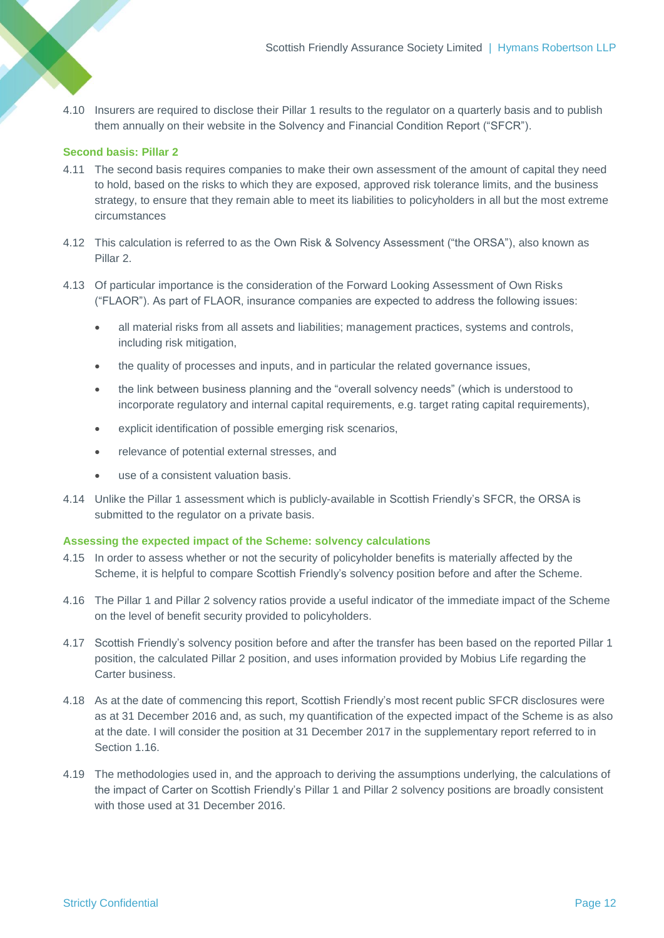4.10 Insurers are required to disclose their Pillar 1 results to the regulator on a quarterly basis and to publish them annually on their website in the Solvency and Financial Condition Report ("SFCR").

## **Second basis: Pillar 2**

- 4.11 The second basis requires companies to make their own assessment of the amount of capital they need to hold, based on the risks to which they are exposed, approved risk tolerance limits, and the business strategy, to ensure that they remain able to meet its liabilities to policyholders in all but the most extreme circumstances
- 4.12 This calculation is referred to as the Own Risk & Solvency Assessment ("the ORSA"), also known as Pillar 2.
- 4.13 Of particular importance is the consideration of the Forward Looking Assessment of Own Risks ("FLAOR"). As part of FLAOR, insurance companies are expected to address the following issues:
	- all material risks from all assets and liabilities; management practices, systems and controls, including risk mitigation,
	- the quality of processes and inputs, and in particular the related governance issues,
	- the link between business planning and the "overall solvency needs" (which is understood to incorporate regulatory and internal capital requirements, e.g. target rating capital requirements),
	- explicit identification of possible emerging risk scenarios,
	- relevance of potential external stresses, and
	- use of a consistent valuation basis.
- 4.14 Unlike the Pillar 1 assessment which is publicly-available in Scottish Friendly's SFCR, the ORSA is submitted to the regulator on a private basis.

#### **Assessing the expected impact of the Scheme: solvency calculations**

- 4.15 In order to assess whether or not the security of policyholder benefits is materially affected by the Scheme, it is helpful to compare Scottish Friendly's solvency position before and after the Scheme.
- 4.16 The Pillar 1 and Pillar 2 solvency ratios provide a useful indicator of the immediate impact of the Scheme on the level of benefit security provided to policyholders.
- 4.17 Scottish Friendly's solvency position before and after the transfer has been based on the reported Pillar 1 position, the calculated Pillar 2 position, and uses information provided by Mobius Life regarding the Carter business.
- 4.18 As at the date of commencing this report, Scottish Friendly's most recent public SFCR disclosures were as at 31 December 2016 and, as such, my quantification of the expected impact of the Scheme is as also at the date. I will consider the position at 31 December 2017 in the supplementary report referred to in Section [1.16.](#page-4-0)
- 4.19 The methodologies used in, and the approach to deriving the assumptions underlying, the calculations of the impact of Carter on Scottish Friendly's Pillar 1 and Pillar 2 solvency positions are broadly consistent with those used at 31 December 2016.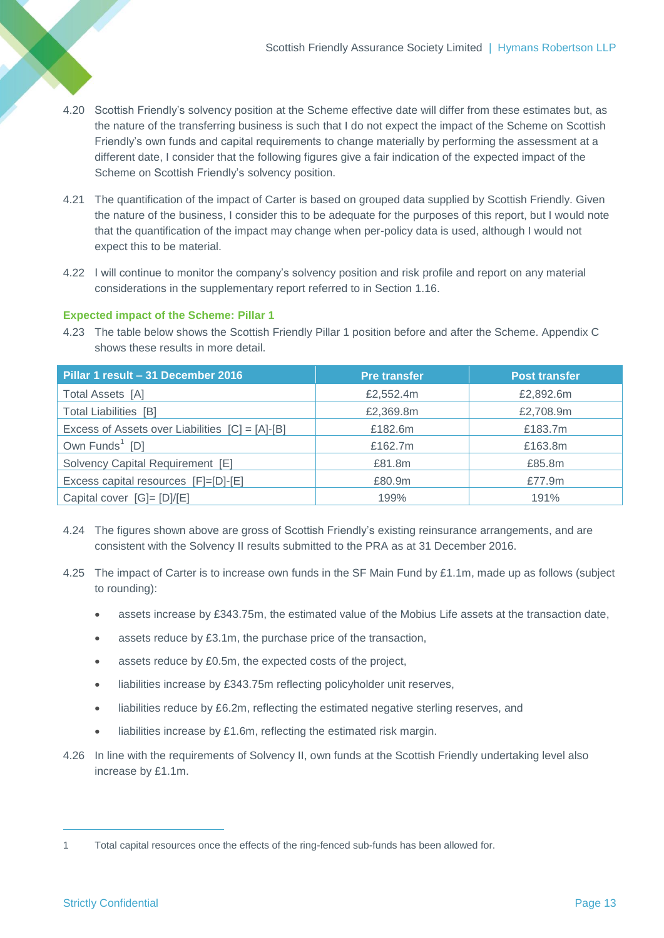- 4.20 Scottish Friendly's solvency position at the Scheme effective date will differ from these estimates but, as the nature of the transferring business is such that I do not expect the impact of the Scheme on Scottish Friendly's own funds and capital requirements to change materially by performing the assessment at a different date, I consider that the following figures give a fair indication of the expected impact of the Scheme on Scottish Friendly's solvency position.
- 4.21 The quantification of the impact of Carter is based on grouped data supplied by Scottish Friendly. Given the nature of the business, I consider this to be adequate for the purposes of this report, but I would note that the quantification of the impact may change when per-policy data is used, although I would not expect this to be material.
- 4.22 I will continue to monitor the company's solvency position and risk profile and report on any material considerations in the supplementary report referred to in Section [1.16.](#page-4-0)

## **Expected impact of the Scheme: Pillar 1**

<span id="page-14-0"></span>4.23 The table below shows the Scottish Friendly Pillar 1 position before and after the Scheme. Appendix C shows these results in more detail.

| Pillar 1 result - 31 December 2016              | <b>Pre transfer</b> | <b>Post transfer</b> |
|-------------------------------------------------|---------------------|----------------------|
| Total Assets [A]                                | £2,552.4m           | £2,892.6m            |
| <b>Total Liabilities [B]</b>                    | £2,369.8m           | £2,708.9m            |
| Excess of Assets over Liabilities [C] = [A]-[B] | £182.6m             | £183.7m              |
| Own Funds <sup>1</sup> [D]                      | £162.7m             | £163.8m              |
| Solvency Capital Requirement [E]                | £81.8m              | £85.8m               |
| Excess capital resources [F]=[D]-[E]            | £80.9m              | £77.9m               |
| Capital cover [G]= [D]/[E]                      | 199%                | 191%                 |

- 4.24 The figures shown above are gross of Scottish Friendly's existing reinsurance arrangements, and are consistent with the Solvency II results submitted to the PRA as at 31 December 2016.
- 4.25 The impact of Carter is to increase own funds in the SF Main Fund by £1.1m, made up as follows (subject to rounding):
	- assets increase by £343.75m, the estimated value of the Mobius Life assets at the transaction date,
	- assets reduce by £3.1m, the purchase price of the transaction,
	- assets reduce by £0.5m, the expected costs of the project,
	- liabilities increase by £343.75m reflecting policyholder unit reserves,
	- liabilities reduce by £6.2m, reflecting the estimated negative sterling reserves, and
	- liabilities increase by £1.6m, reflecting the estimated risk margin.
- 4.26 In line with the requirements of Solvency II, own funds at the Scottish Friendly undertaking level also increase by £1.1m.

 $\overline{a}$ 

<sup>1</sup> Total capital resources once the effects of the ring-fenced sub-funds has been allowed for.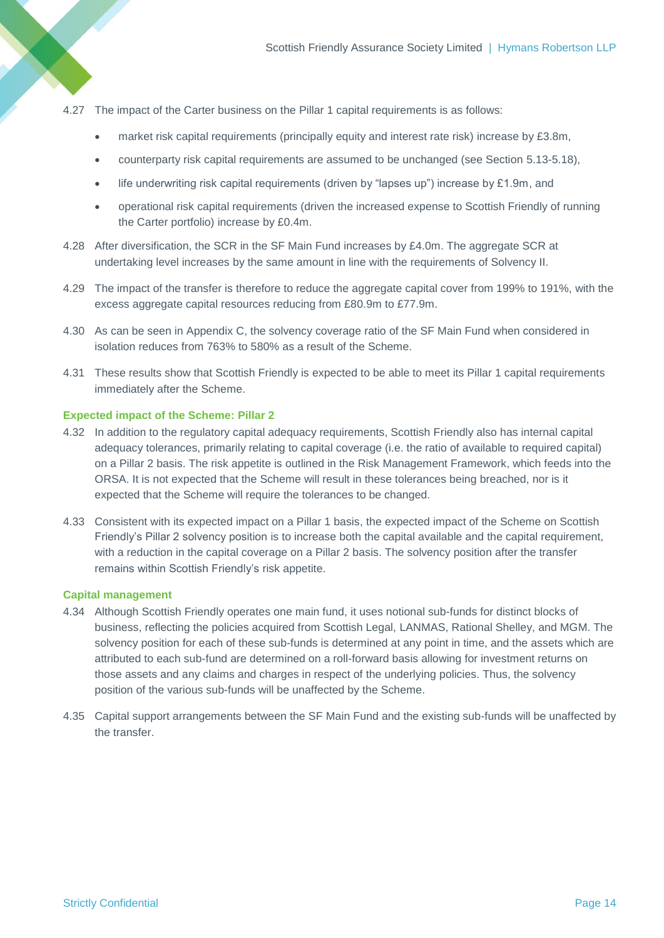- 4.27 The impact of the Carter business on the Pillar 1 capital requirements is as follows:
	- market risk capital requirements (principally equity and interest rate risk) increase by £3.8m,
	- counterparty risk capital requirements are assumed to be unchanged (see Section [5.13-](#page-17-0)[5.18\)](#page-17-1),
	- **•** life underwriting risk capital requirements (driven by "lapses up") increase by £1.9m, and
	- operational risk capital requirements (driven the increased expense to Scottish Friendly of running the Carter portfolio) increase by £0.4m.
- 4.28 After diversification, the SCR in the SF Main Fund increases by £4.0m. The aggregate SCR at undertaking level increases by the same amount in line with the requirements of Solvency II.
- 4.29 The impact of the transfer is therefore to reduce the aggregate capital cover from 199% to 191%, with the excess aggregate capital resources reducing from £80.9m to £77.9m.
- 4.30 As can be seen in Appendix C, the solvency coverage ratio of the SF Main Fund when considered in isolation reduces from 763% to 580% as a result of the Scheme.
- 4.31 These results show that Scottish Friendly is expected to be able to meet its Pillar 1 capital requirements immediately after the Scheme.

#### **Expected impact of the Scheme: Pillar 2**

- 4.32 In addition to the regulatory capital adequacy requirements, Scottish Friendly also has internal capital adequacy tolerances, primarily relating to capital coverage (i.e. the ratio of available to required capital) on a Pillar 2 basis. The risk appetite is outlined in the Risk Management Framework, which feeds into the ORSA. It is not expected that the Scheme will result in these tolerances being breached, nor is it expected that the Scheme will require the tolerances to be changed.
- 4.33 Consistent with its expected impact on a Pillar 1 basis, the expected impact of the Scheme on Scottish Friendly's Pillar 2 solvency position is to increase both the capital available and the capital requirement, with a reduction in the capital coverage on a Pillar 2 basis. The solvency position after the transfer remains within Scottish Friendly's risk appetite.

#### **Capital management**

- 4.34 Although Scottish Friendly operates one main fund, it uses notional sub-funds for distinct blocks of business, reflecting the policies acquired from Scottish Legal, LANMAS, Rational Shelley, and MGM. The solvency position for each of these sub-funds is determined at any point in time, and the assets which are attributed to each sub-fund are determined on a roll-forward basis allowing for investment returns on those assets and any claims and charges in respect of the underlying policies. Thus, the solvency position of the various sub-funds will be unaffected by the Scheme.
- 4.35 Capital support arrangements between the SF Main Fund and the existing sub-funds will be unaffected by the transfer.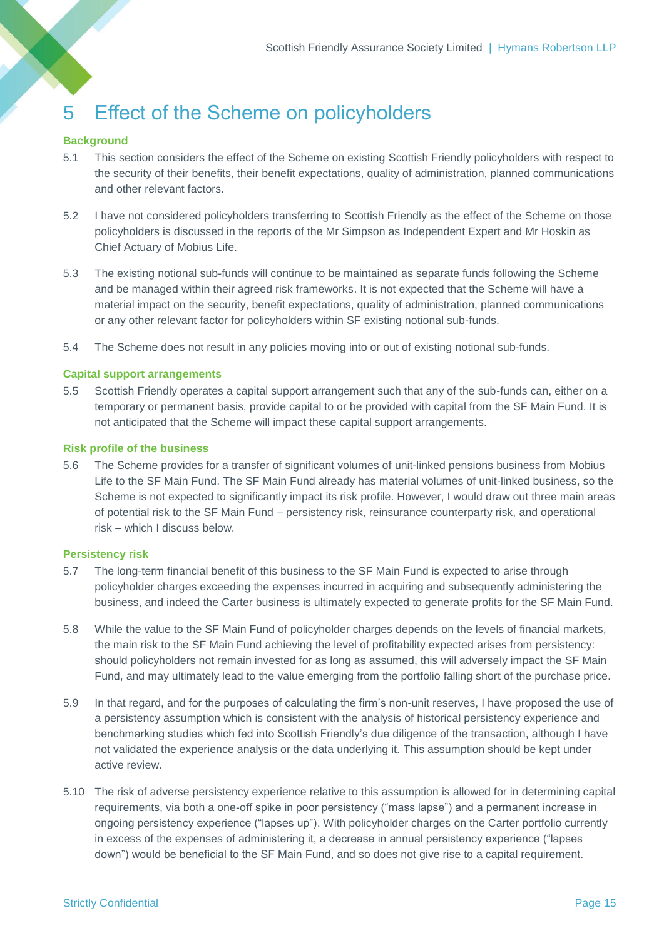# <span id="page-16-0"></span>5 Effect of the Scheme on policyholders

#### **Background**

- 5.1 This section considers the effect of the Scheme on existing Scottish Friendly policyholders with respect to the security of their benefits, their benefit expectations, quality of administration, planned communications and other relevant factors.
- 5.2 I have not considered policyholders transferring to Scottish Friendly as the effect of the Scheme on those policyholders is discussed in the reports of the Mr Simpson as Independent Expert and Mr Hoskin as Chief Actuary of Mobius Life.
- 5.3 The existing notional sub-funds will continue to be maintained as separate funds following the Scheme and be managed within their agreed risk frameworks. It is not expected that the Scheme will have a material impact on the security, benefit expectations, quality of administration, planned communications or any other relevant factor for policyholders within SF existing notional sub-funds.
- 5.4 The Scheme does not result in any policies moving into or out of existing notional sub-funds.

#### **Capital support arrangements**

5.5 Scottish Friendly operates a capital support arrangement such that any of the sub-funds can, either on a temporary or permanent basis, provide capital to or be provided with capital from the SF Main Fund. It is not anticipated that the Scheme will impact these capital support arrangements.

#### **Risk profile of the business**

<span id="page-16-1"></span>5.6 The Scheme provides for a transfer of significant volumes of unit-linked pensions business from Mobius Life to the SF Main Fund. The SF Main Fund already has material volumes of unit-linked business, so the Scheme is not expected to significantly impact its risk profile. However, I would draw out three main areas of potential risk to the SF Main Fund – persistency risk, reinsurance counterparty risk, and operational risk – which I discuss below.

#### **Persistency risk**

- 5.7 The long-term financial benefit of this business to the SF Main Fund is expected to arise through policyholder charges exceeding the expenses incurred in acquiring and subsequently administering the business, and indeed the Carter business is ultimately expected to generate profits for the SF Main Fund.
- 5.8 While the value to the SF Main Fund of policyholder charges depends on the levels of financial markets, the main risk to the SF Main Fund achieving the level of profitability expected arises from persistency: should policyholders not remain invested for as long as assumed, this will adversely impact the SF Main Fund, and may ultimately lead to the value emerging from the portfolio falling short of the purchase price.
- 5.9 In that regard, and for the purposes of calculating the firm's non-unit reserves, I have proposed the use of a persistency assumption which is consistent with the analysis of historical persistency experience and benchmarking studies which fed into Scottish Friendly's due diligence of the transaction, although I have not validated the experience analysis or the data underlying it. This assumption should be kept under active review.
- 5.10 The risk of adverse persistency experience relative to this assumption is allowed for in determining capital requirements, via both a one-off spike in poor persistency ("mass lapse") and a permanent increase in ongoing persistency experience ("lapses up"). With policyholder charges on the Carter portfolio currently in excess of the expenses of administering it, a decrease in annual persistency experience ("lapses down") would be beneficial to the SF Main Fund, and so does not give rise to a capital requirement.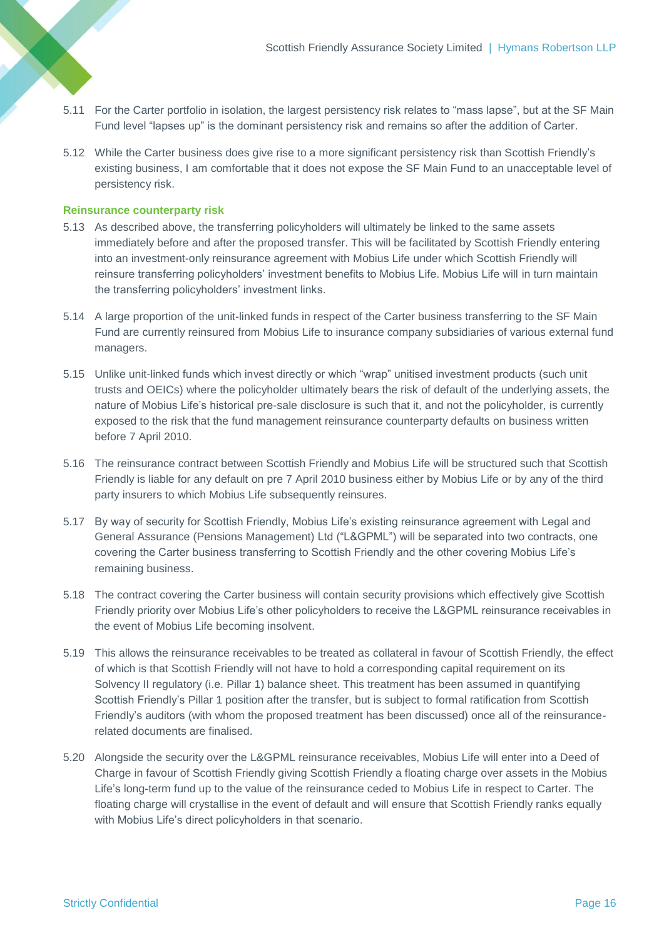- 5.11 For the Carter portfolio in isolation, the largest persistency risk relates to "mass lapse", but at the SF Main Fund level "lapses up" is the dominant persistency risk and remains so after the addition of Carter.
- 5.12 While the Carter business does give rise to a more significant persistency risk than Scottish Friendly's existing business, I am comfortable that it does not expose the SF Main Fund to an unacceptable level of persistency risk.

### **Reinsurance counterparty risk**

- <span id="page-17-0"></span>5.13 As described above, the transferring policyholders will ultimately be linked to the same assets immediately before and after the proposed transfer. This will be facilitated by Scottish Friendly entering into an investment-only reinsurance agreement with Mobius Life under which Scottish Friendly will reinsure transferring policyholders' investment benefits to Mobius Life. Mobius Life will in turn maintain the transferring policyholders' investment links.
- 5.14 A large proportion of the unit-linked funds in respect of the Carter business transferring to the SF Main Fund are currently reinsured from Mobius Life to insurance company subsidiaries of various external fund managers.
- 5.15 Unlike unit-linked funds which invest directly or which "wrap" unitised investment products (such unit trusts and OEICs) where the policyholder ultimately bears the risk of default of the underlying assets, the nature of Mobius Life's historical pre-sale disclosure is such that it, and not the policyholder, is currently exposed to the risk that the fund management reinsurance counterparty defaults on business written before 7 April 2010.
- 5.16 The reinsurance contract between Scottish Friendly and Mobius Life will be structured such that Scottish Friendly is liable for any default on pre 7 April 2010 business either by Mobius Life or by any of the third party insurers to which Mobius Life subsequently reinsures.
- 5.17 By way of security for Scottish Friendly, Mobius Life's existing reinsurance agreement with Legal and General Assurance (Pensions Management) Ltd ("L&GPML") will be separated into two contracts, one covering the Carter business transferring to Scottish Friendly and the other covering Mobius Life's remaining business.
- <span id="page-17-1"></span>5.18 The contract covering the Carter business will contain security provisions which effectively give Scottish Friendly priority over Mobius Life's other policyholders to receive the L&GPML reinsurance receivables in the event of Mobius Life becoming insolvent.
- 5.19 This allows the reinsurance receivables to be treated as collateral in favour of Scottish Friendly, the effect of which is that Scottish Friendly will not have to hold a corresponding capital requirement on its Solvency II regulatory (i.e. Pillar 1) balance sheet. This treatment has been assumed in quantifying Scottish Friendly's Pillar 1 position after the transfer, but is subject to formal ratification from Scottish Friendly's auditors (with whom the proposed treatment has been discussed) once all of the reinsurancerelated documents are finalised.
- 5.20 Alongside the security over the L&GPML reinsurance receivables, Mobius Life will enter into a Deed of Charge in favour of Scottish Friendly giving Scottish Friendly a floating charge over assets in the Mobius Life's long-term fund up to the value of the reinsurance ceded to Mobius Life in respect to Carter. The floating charge will crystallise in the event of default and will ensure that Scottish Friendly ranks equally with Mobius Life's direct policyholders in that scenario.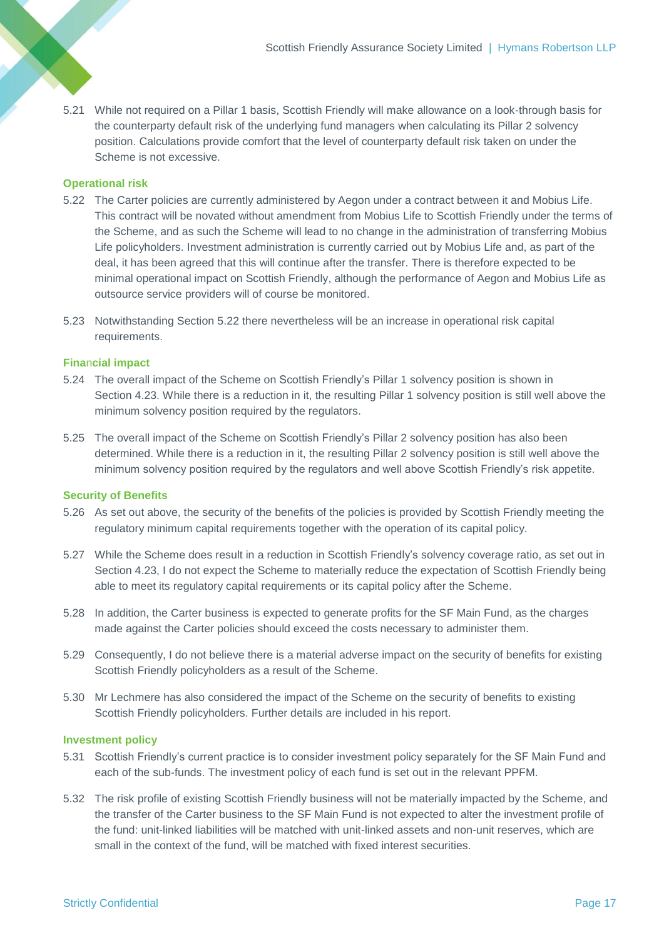5.21 While not required on a Pillar 1 basis, Scottish Friendly will make allowance on a look-through basis for the counterparty default risk of the underlying fund managers when calculating its Pillar 2 solvency position. Calculations provide comfort that the level of counterparty default risk taken on under the Scheme is not excessive.

### **Operational risk**

- <span id="page-18-0"></span>5.22 The Carter policies are currently administered by Aegon under a contract between it and Mobius Life. This contract will be novated without amendment from Mobius Life to Scottish Friendly under the terms of the Scheme, and as such the Scheme will lead to no change in the administration of transferring Mobius Life policyholders. Investment administration is currently carried out by Mobius Life and, as part of the deal, it has been agreed that this will continue after the transfer. There is therefore expected to be minimal operational impact on Scottish Friendly, although the performance of Aegon and Mobius Life as outsource service providers will of course be monitored.
- 5.23 Notwithstanding Section [5.22](#page-18-0) there nevertheless will be an increase in operational risk capital requirements.

#### **Fina**n**cial impact**

- 5.24 The overall impact of the Scheme on Scottish Friendly's Pillar 1 solvency position is shown in Section [4.23.](#page-14-0) While there is a reduction in it, the resulting Pillar 1 solvency position is still well above the minimum solvency position required by the regulators.
- 5.25 The overall impact of the Scheme on Scottish Friendly's Pillar 2 solvency position has also been determined. While there is a reduction in it, the resulting Pillar 2 solvency position is still well above the minimum solvency position required by the regulators and well above Scottish Friendly's risk appetite.

#### **Security of Benefits**

- 5.26 As set out above, the security of the benefits of the policies is provided by Scottish Friendly meeting the regulatory minimum capital requirements together with the operation of its capital policy.
- 5.27 While the Scheme does result in a reduction in Scottish Friendly's solvency coverage ratio, as set out in Section [4.23,](#page-14-0) I do not expect the Scheme to materially reduce the expectation of Scottish Friendly being able to meet its regulatory capital requirements or its capital policy after the Scheme.
- 5.28 In addition, the Carter business is expected to generate profits for the SF Main Fund, as the charges made against the Carter policies should exceed the costs necessary to administer them.
- 5.29 Consequently, I do not believe there is a material adverse impact on the security of benefits for existing Scottish Friendly policyholders as a result of the Scheme.
- 5.30 Mr Lechmere has also considered the impact of the Scheme on the security of benefits to existing Scottish Friendly policyholders. Further details are included in his report.

#### **Investment policy**

- 5.31 Scottish Friendly's current practice is to consider investment policy separately for the SF Main Fund and each of the sub-funds. The investment policy of each fund is set out in the relevant PPFM.
- 5.32 The risk profile of existing Scottish Friendly business will not be materially impacted by the Scheme, and the transfer of the Carter business to the SF Main Fund is not expected to alter the investment profile of the fund: unit-linked liabilities will be matched with unit-linked assets and non-unit reserves, which are small in the context of the fund, will be matched with fixed interest securities.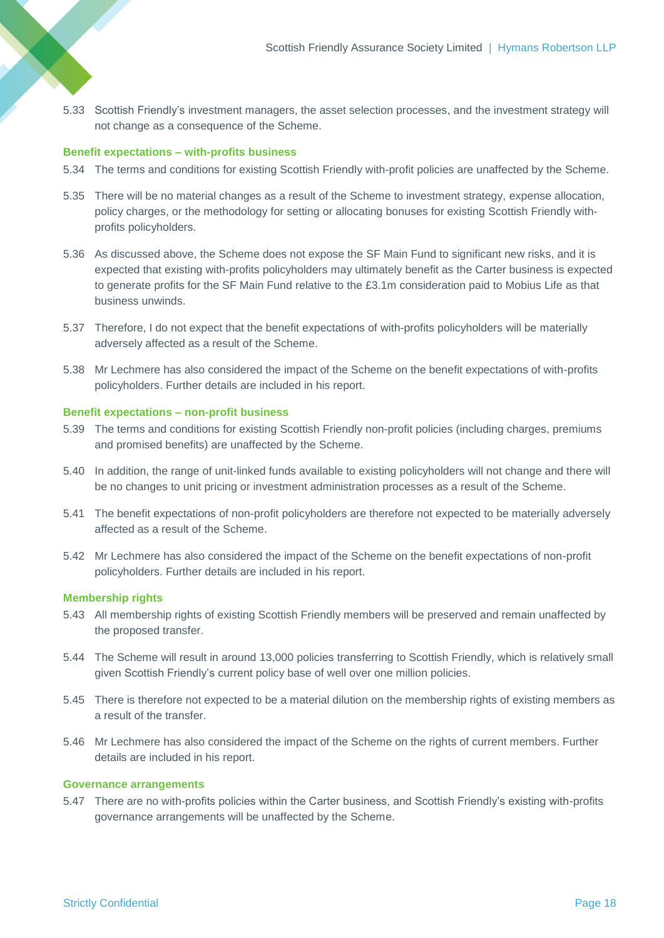5.33 Scottish Friendly's investment managers, the asset selection processes, and the investment strategy will not change as a consequence of the Scheme.

#### **Benefit expectations – with-profits business**

- 5.34 The terms and conditions for existing Scottish Friendly with-profit policies are unaffected by the Scheme.
- 5.35 There will be no material changes as a result of the Scheme to investment strategy, expense allocation, policy charges, or the methodology for setting or allocating bonuses for existing Scottish Friendly withprofits policyholders.
- 5.36 As discussed above, the Scheme does not expose the SF Main Fund to significant new risks, and it is expected that existing with-profits policyholders may ultimately benefit as the Carter business is expected to generate profits for the SF Main Fund relative to the £3.1m consideration paid to Mobius Life as that business unwinds.
- 5.37 Therefore, I do not expect that the benefit expectations of with-profits policyholders will be materially adversely affected as a result of the Scheme.
- 5.38 Mr Lechmere has also considered the impact of the Scheme on the benefit expectations of with-profits policyholders. Further details are included in his report.

#### **Benefit expectations – non-profit business**

- 5.39 The terms and conditions for existing Scottish Friendly non-profit policies (including charges, premiums and promised benefits) are unaffected by the Scheme.
- 5.40 In addition, the range of unit-linked funds available to existing policyholders will not change and there will be no changes to unit pricing or investment administration processes as a result of the Scheme.
- 5.41 The benefit expectations of non-profit policyholders are therefore not expected to be materially adversely affected as a result of the Scheme.
- 5.42 Mr Lechmere has also considered the impact of the Scheme on the benefit expectations of non-profit policyholders. Further details are included in his report.

### **Membership rights**

- 5.43 All membership rights of existing Scottish Friendly members will be preserved and remain unaffected by the proposed transfer.
- 5.44 The Scheme will result in around 13,000 policies transferring to Scottish Friendly, which is relatively small given Scottish Friendly's current policy base of well over one million policies.
- 5.45 There is therefore not expected to be a material dilution on the membership rights of existing members as a result of the transfer.
- 5.46 Mr Lechmere has also considered the impact of the Scheme on the rights of current members. Further details are included in his report.

#### **Governance arrangements**

5.47 There are no with-profits policies within the Carter business, and Scottish Friendly's existing with-profits governance arrangements will be unaffected by the Scheme.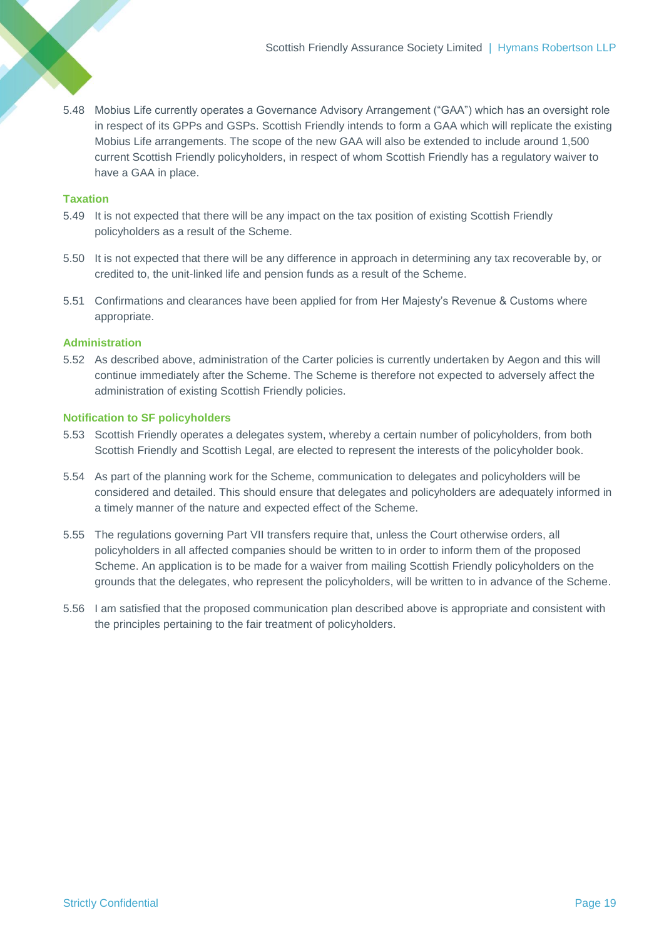5.48 Mobius Life currently operates a Governance Advisory Arrangement ("GAA") which has an oversight role in respect of its GPPs and GSPs. Scottish Friendly intends to form a GAA which will replicate the existing Mobius Life arrangements. The scope of the new GAA will also be extended to include around 1,500 current Scottish Friendly policyholders, in respect of whom Scottish Friendly has a regulatory waiver to have a GAA in place.

#### **Taxation**

- 5.49 It is not expected that there will be any impact on the tax position of existing Scottish Friendly policyholders as a result of the Scheme.
- 5.50 It is not expected that there will be any difference in approach in determining any tax recoverable by, or credited to, the unit-linked life and pension funds as a result of the Scheme.
- 5.51 Confirmations and clearances have been applied for from Her Majesty's Revenue & Customs where appropriate.

#### **Administration**

5.52 As described above, administration of the Carter policies is currently undertaken by Aegon and this will continue immediately after the Scheme. The Scheme is therefore not expected to adversely affect the administration of existing Scottish Friendly policies.

#### **Notification to SF policyholders**

- 5.53 Scottish Friendly operates a delegates system, whereby a certain number of policyholders, from both Scottish Friendly and Scottish Legal, are elected to represent the interests of the policyholder book.
- 5.54 As part of the planning work for the Scheme, communication to delegates and policyholders will be considered and detailed. This should ensure that delegates and policyholders are adequately informed in a timely manner of the nature and expected effect of the Scheme.
- 5.55 The regulations governing Part VII transfers require that, unless the Court otherwise orders, all policyholders in all affected companies should be written to in order to inform them of the proposed Scheme. An application is to be made for a waiver from mailing Scottish Friendly policyholders on the grounds that the delegates, who represent the policyholders, will be written to in advance of the Scheme.
- 5.56 I am satisfied that the proposed communication plan described above is appropriate and consistent with the principles pertaining to the fair treatment of policyholders.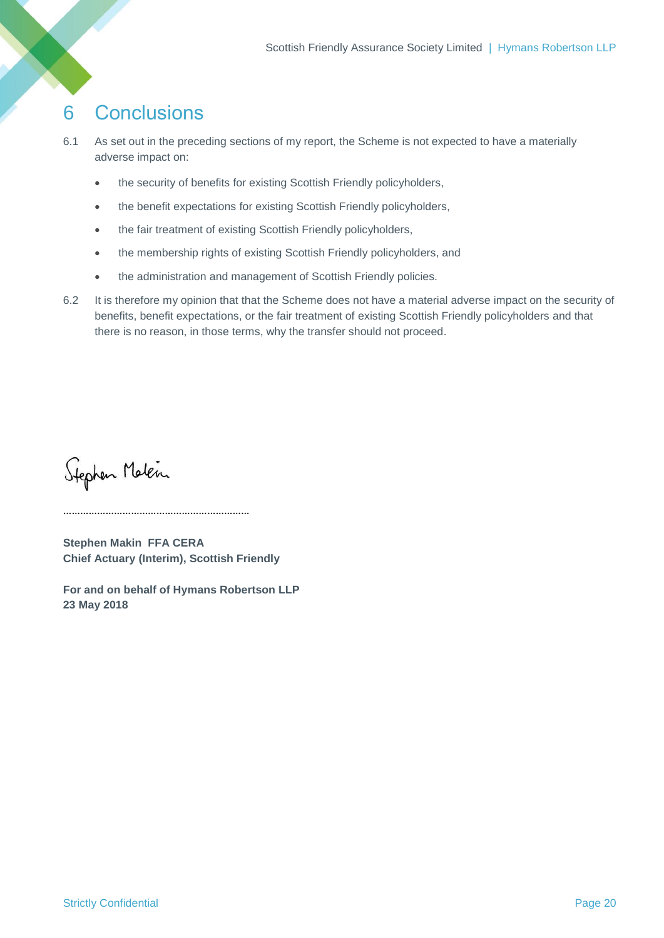## <span id="page-21-0"></span>6 Conclusions

- 6.1 As set out in the preceding sections of my report, the Scheme is not expected to have a materially adverse impact on:
	- the security of benefits for existing Scottish Friendly policyholders,
	- the benefit expectations for existing Scottish Friendly policyholders,
	- the fair treatment of existing Scottish Friendly policyholders,
	- the membership rights of existing Scottish Friendly policyholders, and
	- the administration and management of Scottish Friendly policies.
- 6.2 It is therefore my opinion that that the Scheme does not have a material adverse impact on the security of benefits, benefit expectations, or the fair treatment of existing Scottish Friendly policyholders and that there is no reason, in those terms, why the transfer should not proceed.

Stephen Malen

**Stephen Makin FFA CERA Chief Actuary (Interim), Scottish Friendly**

**For and on behalf of Hymans Robertson LLP 23 May 2018**

……………………………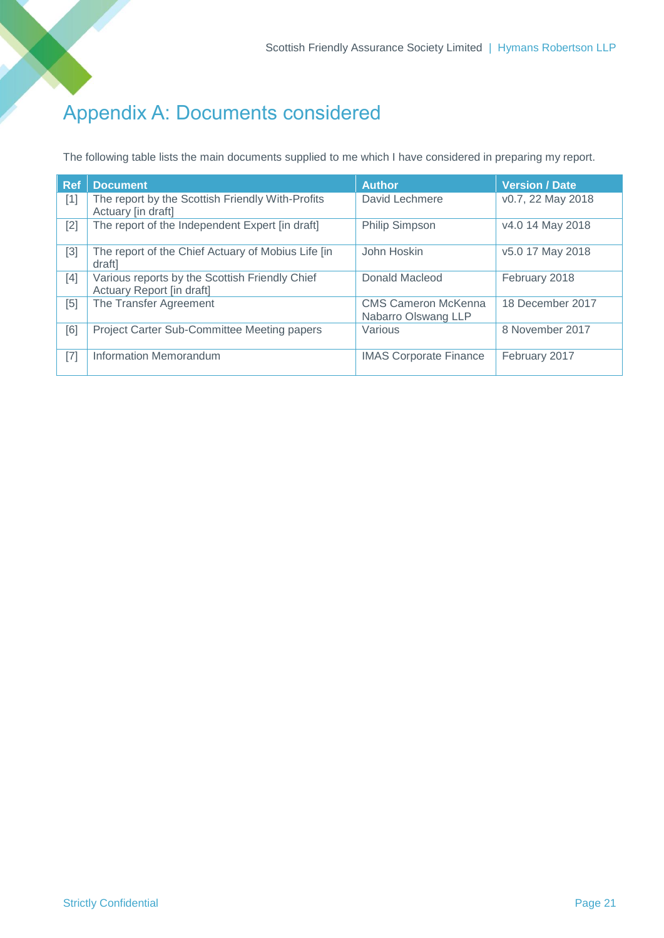## Appendix A: Documents considered

The following table lists the main documents supplied to me which I have considered in preparing my report.

| <b>Ref</b> | <b>Document</b>                                                             | <b>Author</b>                                     | <b>Version / Date</b> |
|------------|-----------------------------------------------------------------------------|---------------------------------------------------|-----------------------|
| $[1]$      | The report by the Scottish Friendly With-Profits<br>Actuary [in draft]      | David Lechmere                                    | v0.7, 22 May 2018     |
| $[2]$      | The report of the Independent Expert [in draft]                             | <b>Philip Simpson</b>                             | v4.0 14 May 2018      |
| $[3]$      | The report of the Chief Actuary of Mobius Life [in]<br>draftl               | John Hoskin                                       | v5.0 17 May 2018      |
| $[4]$      | Various reports by the Scottish Friendly Chief<br>Actuary Report [in draft] | Donald Macleod                                    | February 2018         |
| [5]        | The Transfer Agreement                                                      | <b>CMS Cameron McKenna</b><br>Nabarro Olswang LLP | 18 December 2017      |
| [6]        | <b>Project Carter Sub-Committee Meeting papers</b>                          | Various                                           | 8 November 2017       |
| $[7]$      | Information Memorandum                                                      | <b>IMAS Corporate Finance</b>                     | February 2017         |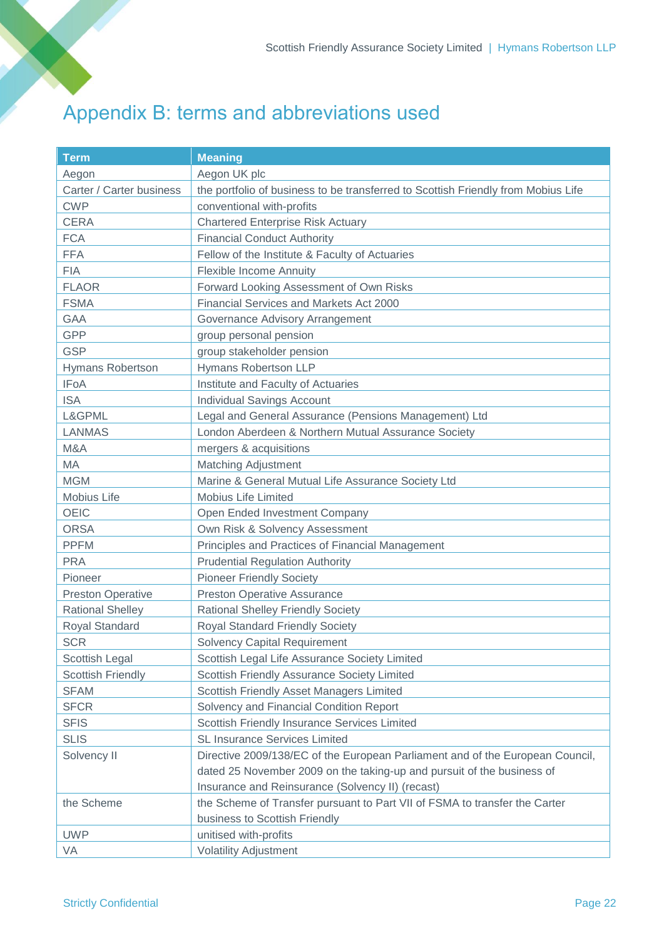## Appendix B: terms and abbreviations used

| <b>Term</b>              | <b>Meaning</b>                                                                    |
|--------------------------|-----------------------------------------------------------------------------------|
| Aegon                    | Aegon UK plc                                                                      |
| Carter / Carter business | the portfolio of business to be transferred to Scottish Friendly from Mobius Life |
| <b>CWP</b>               | conventional with-profits                                                         |
| <b>CERA</b>              | <b>Chartered Enterprise Risk Actuary</b>                                          |
| <b>FCA</b>               | <b>Financial Conduct Authority</b>                                                |
| <b>FFA</b>               | Fellow of the Institute & Faculty of Actuaries                                    |
| <b>FIA</b>               | <b>Flexible Income Annuity</b>                                                    |
| <b>FLAOR</b>             | Forward Looking Assessment of Own Risks                                           |
| <b>FSMA</b>              | Financial Services and Markets Act 2000                                           |
| <b>GAA</b>               | Governance Advisory Arrangement                                                   |
| <b>GPP</b>               | group personal pension                                                            |
| <b>GSP</b>               | group stakeholder pension                                                         |
| Hymans Robertson         | Hymans Robertson LLP                                                              |
| <b>IFoA</b>              | Institute and Faculty of Actuaries                                                |
| <b>ISA</b>               | <b>Individual Savings Account</b>                                                 |
| L&GPML                   | Legal and General Assurance (Pensions Management) Ltd                             |
| <b>LANMAS</b>            | London Aberdeen & Northern Mutual Assurance Society                               |
| M&A                      | mergers & acquisitions                                                            |
| MA                       | <b>Matching Adjustment</b>                                                        |
| <b>MGM</b>               | Marine & General Mutual Life Assurance Society Ltd                                |
| Mobius Life              | <b>Mobius Life Limited</b>                                                        |
| <b>OEIC</b>              | Open Ended Investment Company                                                     |
| <b>ORSA</b>              | Own Risk & Solvency Assessment                                                    |
| <b>PPFM</b>              | Principles and Practices of Financial Management                                  |
| <b>PRA</b>               | <b>Prudential Regulation Authority</b>                                            |
| Pioneer                  | <b>Pioneer Friendly Society</b>                                                   |
| <b>Preston Operative</b> | <b>Preston Operative Assurance</b>                                                |
| <b>Rational Shelley</b>  | <b>Rational Shelley Friendly Society</b>                                          |
| Royal Standard           | <b>Royal Standard Friendly Society</b>                                            |
| <b>SCR</b>               | <b>Solvency Capital Requirement</b>                                               |
| Scottish Legal           | Scottish Legal Life Assurance Society Limited                                     |
| <b>Scottish Friendly</b> | Scottish Friendly Assurance Society Limited                                       |
| <b>SFAM</b>              | Scottish Friendly Asset Managers Limited                                          |
| <b>SFCR</b>              | Solvency and Financial Condition Report                                           |
| <b>SFIS</b>              | Scottish Friendly Insurance Services Limited                                      |
| <b>SLIS</b>              | <b>SL Insurance Services Limited</b>                                              |
| Solvency II              | Directive 2009/138/EC of the European Parliament and of the European Council,     |
|                          | dated 25 November 2009 on the taking-up and pursuit of the business of            |
|                          | Insurance and Reinsurance (Solvency II) (recast)                                  |
| the Scheme               | the Scheme of Transfer pursuant to Part VII of FSMA to transfer the Carter        |
|                          | business to Scottish Friendly                                                     |
| <b>UWP</b>               | unitised with-profits                                                             |
| VA                       | <b>Volatility Adjustment</b>                                                      |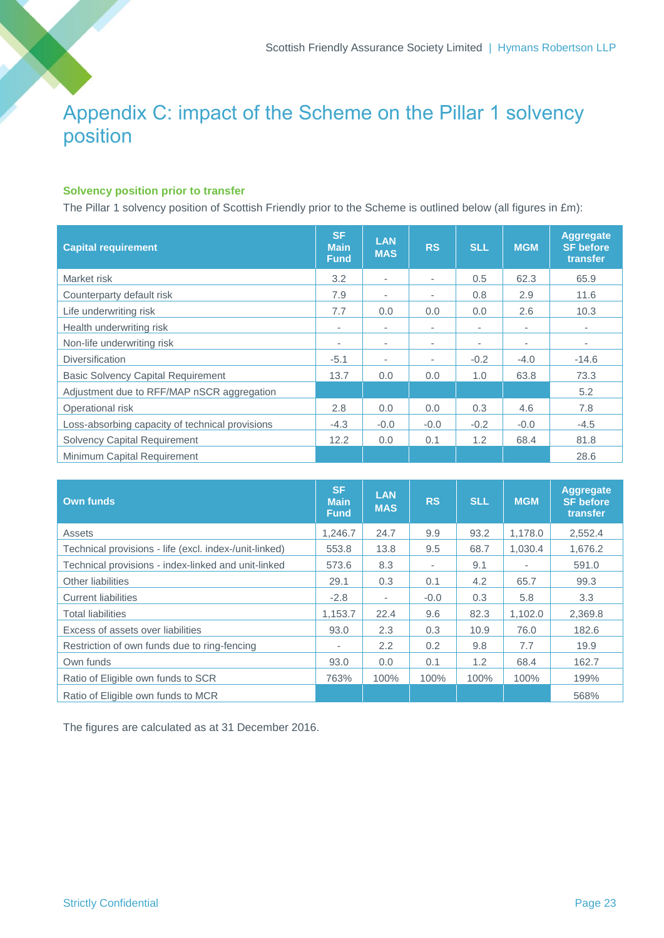## Appendix C: impact of the Scheme on the Pillar 1 solvency position

## **Solvency position prior to transfer**

The Pillar 1 solvency position of Scottish Friendly prior to the Scheme is outlined below (all figures in £m):

| <b>Capital requirement</b>                      | <b>SF</b><br><b>Main</b><br><b>Fund</b> | <b>LAN</b><br><b>MAS</b> | <b>RS</b>                | <b>SLL</b> | <b>MGM</b> | <b>Aggregate</b><br><b>SF</b> before<br>transfer |
|-------------------------------------------------|-----------------------------------------|--------------------------|--------------------------|------------|------------|--------------------------------------------------|
| Market risk                                     | 3.2                                     | ٠                        | $\overline{\phantom{a}}$ | 0.5        | 62.3       | 65.9                                             |
| Counterparty default risk                       | 7.9                                     | $\overline{\phantom{a}}$ | $\overline{\phantom{a}}$ | 0.8        | 2.9        | 11.6                                             |
| Life underwriting risk                          | 7.7                                     | 0.0                      | 0.0                      | 0.0        | 2.6        | 10.3                                             |
| Health underwriting risk                        | $\sim$                                  | ٠                        | $\overline{\phantom{a}}$ | ٠          | ٠          |                                                  |
| Non-life underwriting risk                      | $\sim$                                  | ٠                        | ٠                        | ٠          | ٠          |                                                  |
| <b>Diversification</b>                          | $-5.1$                                  | ٠                        | ٠                        | $-0.2$     | $-4.0$     | $-14.6$                                          |
| <b>Basic Solvency Capital Requirement</b>       | 13.7                                    | 0.0                      | 0.0                      | 1.0        | 63.8       | 73.3                                             |
| Adjustment due to RFF/MAP nSCR aggregation      |                                         |                          |                          |            |            | 5.2                                              |
| Operational risk                                | 2.8                                     | 0.0                      | 0.0                      | 0.3        | 4.6        | 7.8                                              |
| Loss-absorbing capacity of technical provisions | $-4.3$                                  | $-0.0$                   | $-0.0$                   | $-0.2$     | $-0.0$     | $-4.5$                                           |
| <b>Solvency Capital Requirement</b>             | 12.2                                    | 0.0                      | 0.1                      | 1.2        | 68.4       | 81.8                                             |
| Minimum Capital Requirement                     |                                         |                          |                          |            |            | 28.6                                             |

| <b>Own funds</b>                                       | <b>SF</b><br><b>Main</b><br><b>Fund</b> | <b>LAN</b><br><b>MAS</b> | <b>RS</b> | <b>SLL</b> | <b>MGM</b> | <b>Aggregate</b><br><b>SF</b> before<br>transfer |
|--------------------------------------------------------|-----------------------------------------|--------------------------|-----------|------------|------------|--------------------------------------------------|
| Assets                                                 | 1.246.7                                 | 24.7                     | 9.9       | 93.2       | 1.178.0    | 2,552.4                                          |
| Technical provisions - life (excl. index-/unit-linked) | 553.8                                   | 13.8                     | 9.5       | 68.7       | 1,030.4    | 1,676.2                                          |
| Technical provisions - index-linked and unit-linked    | 573.6                                   | 8.3                      | ٠         | 9.1        |            | 591.0                                            |
| Other liabilities                                      | 29.1                                    | 0.3                      | 0.1       | 4.2        | 65.7       | 99.3                                             |
| <b>Current liabilities</b>                             | $-2.8$                                  | ٠                        | $-0.0$    | 0.3        | 5.8        | 3.3                                              |
| <b>Total liabilities</b>                               | 1.153.7                                 | 22.4                     | 9.6       | 82.3       | 1,102.0    | 2,369.8                                          |
| Excess of assets over liabilities                      | 93.0                                    | 2.3                      | 0.3       | 10.9       | 76.0       | 182.6                                            |
| Restriction of own funds due to ring-fencing           | ٠                                       | 2.2                      | 0.2       | 9.8        | 7.7        | 19.9                                             |
| Own funds                                              | 93.0                                    | 0.0                      | 0.1       | 1.2        | 68.4       | 162.7                                            |
| Ratio of Eligible own funds to SCR                     | 763%                                    | 100%                     | 100%      | 100%       | 100%       | 199%                                             |
| Ratio of Eligible own funds to MCR                     |                                         |                          |           |            |            | 568%                                             |

The figures are calculated as at 31 December 2016.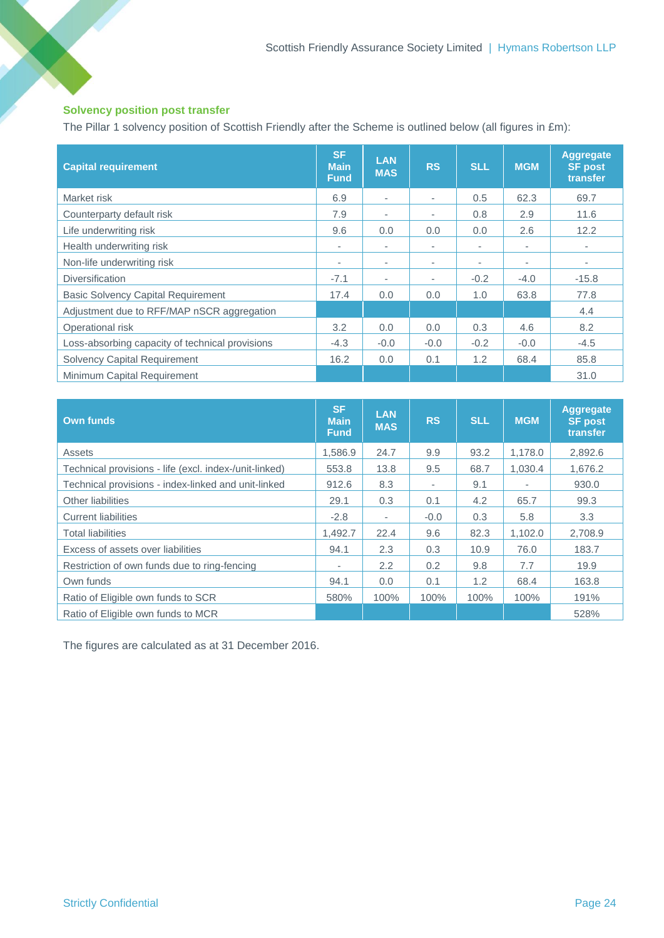## **Solvency position post transfer**

The Pillar 1 solvency position of Scottish Friendly after the Scheme is outlined below (all figures in £m):

| <b>Capital requirement</b>                      | <b>SF</b><br><b>Main</b><br><b>Fund</b> | <b>LAN</b><br><b>MAS</b> | <b>RS</b> | <b>SLL</b> | <b>MGM</b> | <b>Aggregate</b><br><b>SF post</b><br>transfer |
|-------------------------------------------------|-----------------------------------------|--------------------------|-----------|------------|------------|------------------------------------------------|
| Market risk                                     | 6.9                                     | ٠                        | ٠         | 0.5        | 62.3       | 69.7                                           |
| Counterparty default risk                       | 7.9                                     | ۰                        | ٠         | 0.8        | 2.9        | 11.6                                           |
| Life underwriting risk                          | 9.6                                     | 0.0                      | 0.0       | 0.0        | 2.6        | 12.2                                           |
| Health underwriting risk                        | ٠                                       | ٠                        | ٠         | ۰.         | ٠          | ۰                                              |
| Non-life underwriting risk                      | $\overline{\phantom{a}}$                | $\sim$                   | ٠         | ٠          | ٠          | ۰                                              |
| <b>Diversification</b>                          | $-7.1$                                  | ٠                        | ٠         | $-0.2$     | $-4.0$     | $-15.8$                                        |
| <b>Basic Solvency Capital Requirement</b>       | 17.4                                    | 0.0                      | 0.0       | 1.0        | 63.8       | 77.8                                           |
| Adjustment due to RFF/MAP nSCR aggregation      |                                         |                          |           |            |            | 4.4                                            |
| Operational risk                                | 3.2                                     | 0.0                      | 0.0       | 0.3        | 4.6        | 8.2                                            |
| Loss-absorbing capacity of technical provisions | $-4.3$                                  | $-0.0$                   | $-0.0$    | $-0.2$     | $-0.0$     | $-4.5$                                         |
| <b>Solvency Capital Requirement</b>             | 16.2                                    | 0.0                      | 0.1       | 1.2        | 68.4       | 85.8                                           |
| Minimum Capital Requirement                     |                                         |                          |           |            |            | 31.0                                           |

| <b>Own funds</b>                                       | <b>SF</b><br><b>Main</b><br><b>Fund</b> | <b>LAN</b><br><b>MAS</b> | <b>RS</b> | <b>SLL</b> | <b>MGM</b> | <b>Aggregate</b><br><b>SF post</b><br>transfer |
|--------------------------------------------------------|-----------------------------------------|--------------------------|-----------|------------|------------|------------------------------------------------|
| Assets                                                 | 1.586.9                                 | 24.7                     | 9.9       | 93.2       | 1.178.0    | 2,892.6                                        |
| Technical provisions - life (excl. index-/unit-linked) | 553.8                                   | 13.8                     | 9.5       | 68.7       | 1,030.4    | 1,676.2                                        |
| Technical provisions - index-linked and unit-linked    | 912.6                                   | 8.3                      | ٠         | 9.1        | ۰          | 930.0                                          |
| Other liabilities                                      | 29.1                                    | 0.3                      | 0.1       | 4.2        | 65.7       | 99.3                                           |
| <b>Current liabilities</b>                             | $-2.8$                                  | ٠                        | $-0.0$    | 0.3        | 5.8        | 3.3                                            |
| <b>Total liabilities</b>                               | 1,492.7                                 | 22.4                     | 9.6       | 82.3       | 1,102.0    | 2,708.9                                        |
| Excess of assets over liabilities                      | 94.1                                    | 2.3                      | 0.3       | 10.9       | 76.0       | 183.7                                          |
| Restriction of own funds due to ring-fencing           | $\overline{\phantom{a}}$                | 2.2                      | 0.2       | 9.8        | 7.7        | 19.9                                           |
| Own funds                                              | 94.1                                    | 0.0                      | 0.1       | 1.2        | 68.4       | 163.8                                          |
| Ratio of Eligible own funds to SCR                     | 580%                                    | 100%                     | 100%      | 100%       | 100%       | 191%                                           |
| Ratio of Eligible own funds to MCR                     |                                         |                          |           |            |            | 528%                                           |

The figures are calculated as at 31 December 2016.